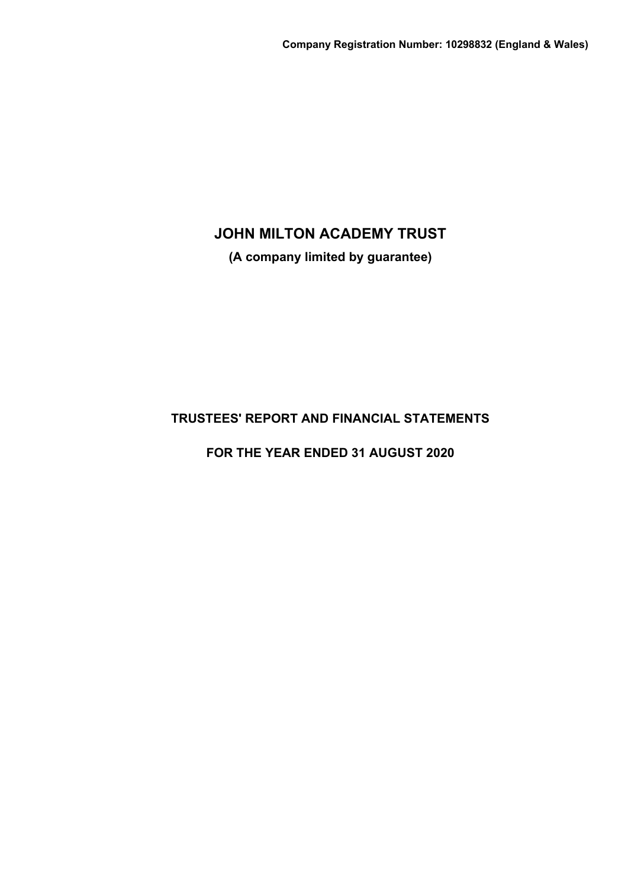**(A company limited by guarantee)**

# **TRUSTEES' REPORT AND FINANCIAL STATEMENTS**

**FOR THE YEAR ENDED 31 AUGUST 2020**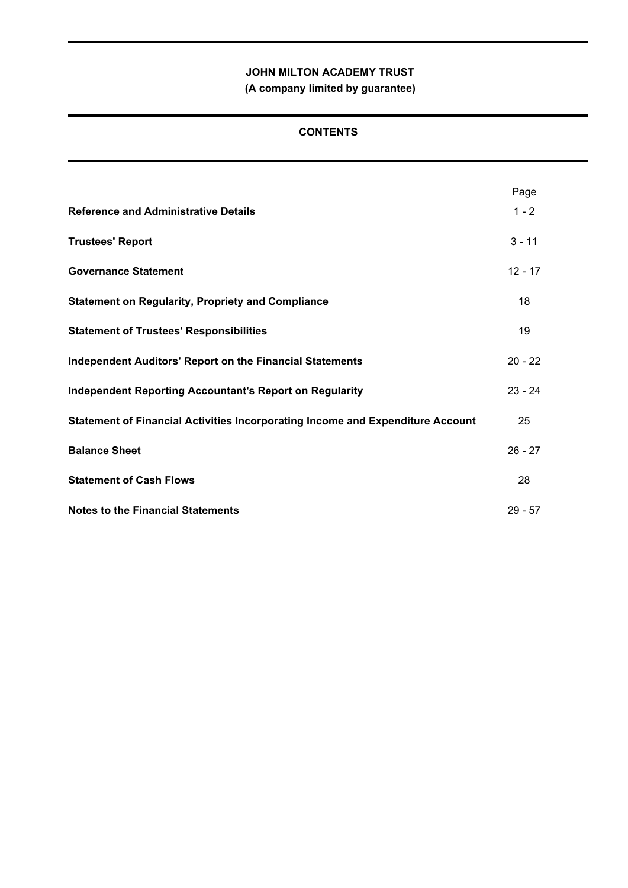**(A company limited by guarantee)**

## **CONTENTS**

|                                                                                | Page      |
|--------------------------------------------------------------------------------|-----------|
| <b>Reference and Administrative Details</b>                                    | $1 - 2$   |
| <b>Trustees' Report</b>                                                        | $3 - 11$  |
| <b>Governance Statement</b>                                                    | $12 - 17$ |
| <b>Statement on Regularity, Propriety and Compliance</b>                       | 18        |
| <b>Statement of Trustees' Responsibilities</b>                                 | 19        |
| <b>Independent Auditors' Report on the Financial Statements</b>                | $20 - 22$ |
| <b>Independent Reporting Accountant's Report on Regularity</b>                 | $23 - 24$ |
| Statement of Financial Activities Incorporating Income and Expenditure Account | 25        |
| <b>Balance Sheet</b>                                                           | $26 - 27$ |
| <b>Statement of Cash Flows</b>                                                 | 28        |
| <b>Notes to the Financial Statements</b>                                       | $29 - 57$ |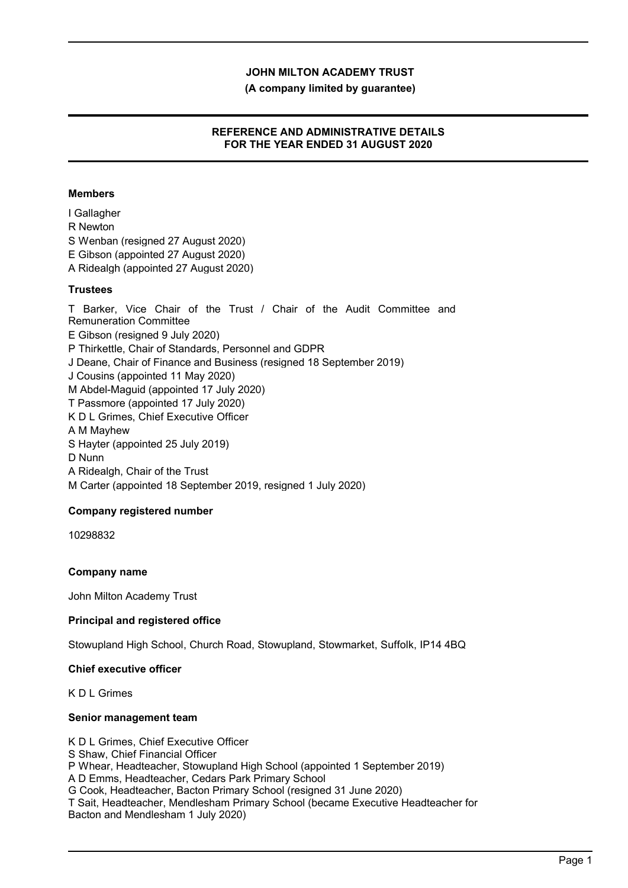**(A company limited by guarantee)**

## **REFERENCE AND ADMINISTRATIVE DETAILS FOR THE YEAR ENDED 31 AUGUST 2020**

## **Members**

I Gallagher R Newton S Wenban (resigned 27 August 2020) E Gibson (appointed 27 August 2020) A Ridealgh (appointed 27 August 2020) **Trustees**

T Barker, Vice Chair of the Trust / Chair of the Audit Committee and Remuneration Committee E Gibson (resigned 9 July 2020) P Thirkettle, Chair of Standards, Personnel and GDPR J Deane, Chair of Finance and Business (resigned 18 September 2019) J Cousins (appointed 11 May 2020) M Abdel-Maguid (appointed 17 July 2020) T Passmore (appointed 17 July 2020) K D L Grimes, Chief Executive Officer A M Mayhew S Hayter (appointed 25 July 2019) D Nunn A Ridealgh, Chair of the Trust M Carter (appointed 18 September 2019, resigned 1 July 2020)

## **Company registered number**

10298832

## **Company name**

John Milton Academy Trust

## **Principal and registered office**

Stowupland High School, Church Road, Stowupland, Stowmarket, Suffolk, IP14 4BQ

### **Chief executive officer**

K D L Grimes

### **Senior management team**

K D L Grimes, Chief Executive Officer S Shaw, Chief Financial Officer P Whear, Headteacher, Stowupland High School (appointed 1 September 2019) A D Emms, Headteacher, Cedars Park Primary School G Cook, Headteacher, Bacton Primary School (resigned 31 June 2020) T Sait, Headteacher, Mendlesham Primary School (became Executive Headteacher for Bacton and Mendlesham 1 July 2020)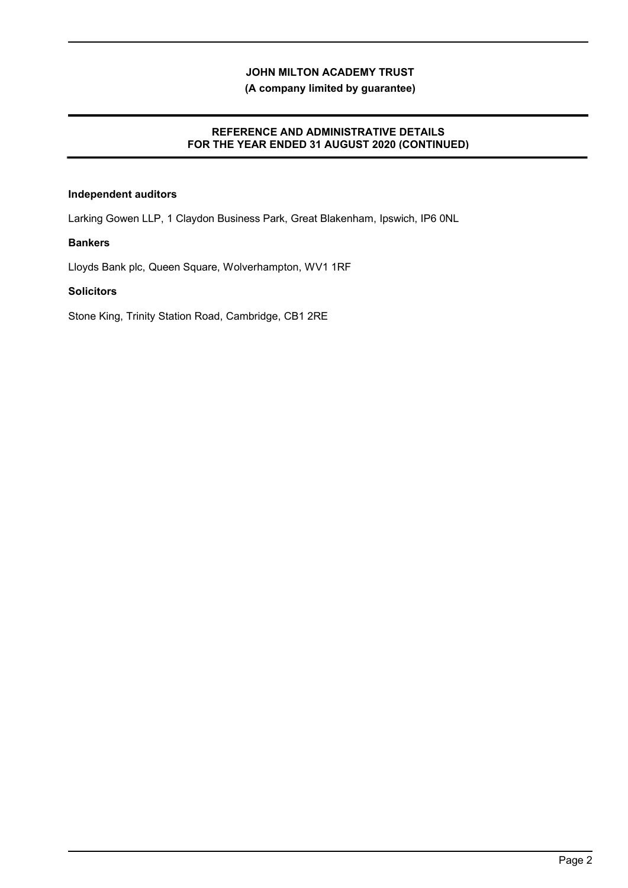## **(A company limited by guarantee)**

#### **REFERENCE AND ADMINISTRATIVE DETAILS FOR THE YEAR ENDED 31 AUGUST 2020 (CONTINUED) FOR THE YEAR ENDED 31 AUGUST 2020**

## **Independent auditors**

Larking Gowen LLP, 1 Claydon Business Park, Great Blakenham, Ipswich, IP6 0NL

### **Bankers**

Lloyds Bank plc, Queen Square, Wolverhampton, WV1 1RF

## **Solicitors**

Stone King, Trinity Station Road, Cambridge, CB1 2RE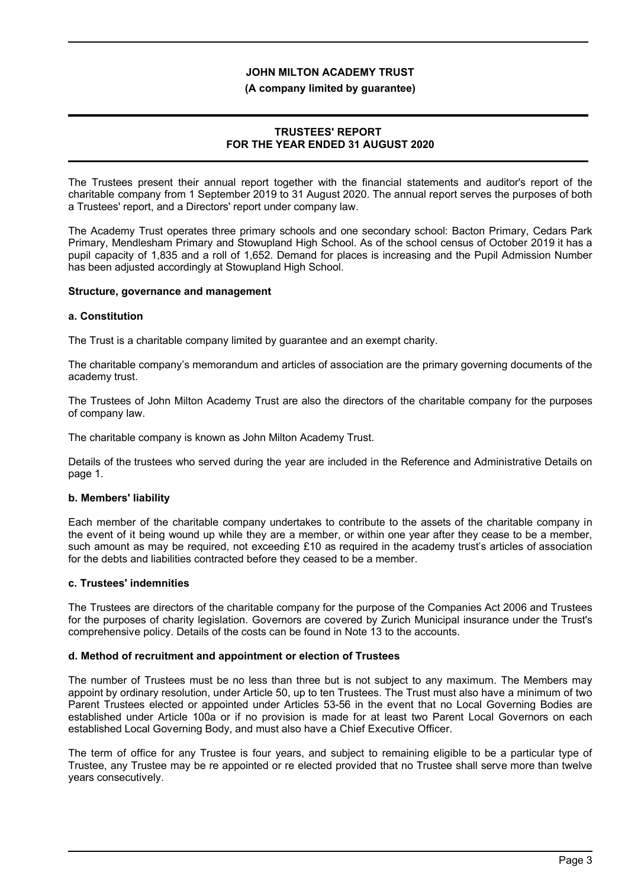#### **(A company limited by guarantee)**

## **TRUSTEES' REPORT FOR THE YEAR ENDED 31 AUGUST 2020**

The Trustees present their annual report together with the financial statements and auditor's report of the charitable company from 1 September 2019 to 31 August 2020. The annual report serves the purposes of both a Trustees' report, and a Directors' report under company law.

The Academy Trust operates three primary schools and one secondary school: Bacton Primary, Cedars Park Primary, Mendlesham Primary and Stowupland High School. As of the school census of October 2019 it has a pupil capacity of 1,835 and a roll of 1,652. Demand for places is increasing and the Pupil Admission Number has been adjusted accordingly at Stowupland High School.

#### **Structure, governance and management**

#### **a. Constitution**

The Trust is a charitable company limited by guarantee and an exempt charity.

The charitable company's memorandum and articles of association are the primary governing documents of the academy trust.

The Trustees of John Milton Academy Trust are also the directors of the charitable company for the purposes of company law.

The charitable company is known as John Milton Academy Trust.

Details of the trustees who served during the year are included in the Reference and Administrative Details on page 1.

### **b. Members' liability**

Each member of the charitable company undertakes to contribute to the assets of the charitable company in the event of it being wound up while they are a member, or within one year after they cease to be a member, such amount as may be required, not exceeding £10 as required in the academy trust's articles of association for the debts and liabilities contracted before they ceased to be a member.

#### **c. Trustees' indemnities**

The Trustees are directors of the charitable company for the purpose of the Companies Act 2006 and Trustees for the purposes of charity legislation. Governors are covered by Zurich Municipal insurance under the Trust's comprehensive policy. Details of the costs can be found in Note 13 to the accounts.

### **d. Method of recruitment and appointment or election of Trustees**

The number of Trustees must be no less than three but is not subject to any maximum. The Members may appoint by ordinary resolution, under Article 50, up to ten Trustees. The Trust must also have a minimum of two Parent Trustees elected or appointed under Articles 53-56 in the event that no Local Governing Bodies are established under Article 100a or if no provision is made for at least two Parent Local Governors on each established Local Governing Body, and must also have a Chief Executive Officer.

The term of office for any Trustee is four years, and subject to remaining eligible to be a particular type of Trustee, any Trustee may be re appointed or re elected provided that no Trustee shall serve more than twelve years consecutively.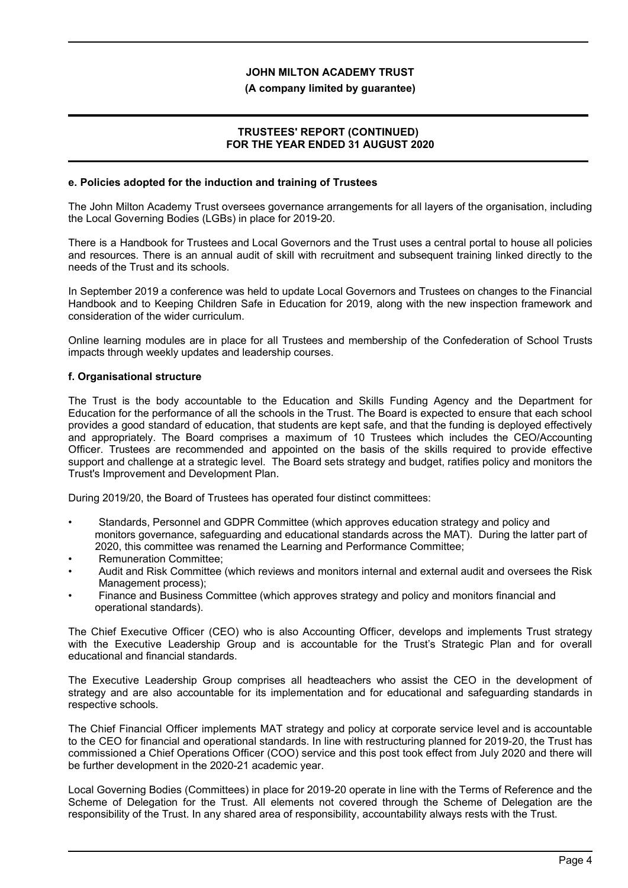#### **(A company limited by guarantee)**

## **TRUSTEES' REPORT (CONTINUED) FOR THE YEAR ENDED 31 AUGUST 2020**

#### **e. Policies adopted for the induction and training of Trustees**

The John Milton Academy Trust oversees governance arrangements for all layers of the organisation, including the Local Governing Bodies (LGBs) in place for 2019-20.

There is a Handbook for Trustees and Local Governors and the Trust uses a central portal to house all policies and resources. There is an annual audit of skill with recruitment and subsequent training linked directly to the needs of the Trust and its schools.

In September 2019 a conference was held to update Local Governors and Trustees on changes to the Financial Handbook and to Keeping Children Safe in Education for 2019, along with the new inspection framework and consideration of the wider curriculum.

Online learning modules are in place for all Trustees and membership of the Confederation of School Trusts impacts through weekly updates and leadership courses.

### **f. Organisational structure**

The Trust is the body accountable to the Education and Skills Funding Agency and the Department for Education for the performance of all the schools in the Trust. The Board is expected to ensure that each school provides a good standard of education, that students are kept safe, and that the funding is deployed effectively and appropriately. The Board comprises a maximum of 10 Trustees which includes the CEO/Accounting Officer. Trustees are recommended and appointed on the basis of the skills required to provide effective support and challenge at a strategic level. The Board sets strategy and budget, ratifies policy and monitors the Trust's Improvement and Development Plan.

During 2019/20, the Board of Trustees has operated four distinct committees:

- Standards, Personnel and GDPR Committee (which approves education strategy and policy and monitors governance, safeguarding and educational standards across the MAT). During the latter part of 2020, this committee was renamed the Learning and Performance Committee;
- Remuneration Committee;
- Audit and Risk Committee (which reviews and monitors internal and external audit and oversees the Risk Management process);
- Finance and Business Committee (which approves strategy and policy and monitors financial and operational standards).

The Chief Executive Officer (CEO) who is also Accounting Officer, develops and implements Trust strategy with the Executive Leadership Group and is accountable for the Trust's Strategic Plan and for overall educational and financial standards.

The Executive Leadership Group comprises all headteachers who assist the CEO in the development of strategy and are also accountable for its implementation and for educational and safeguarding standards in respective schools.

The Chief Financial Officer implements MAT strategy and policy at corporate service level and is accountable to the CEO for financial and operational standards. In line with restructuring planned for 2019-20, the Trust has commissioned a Chief Operations Officer (COO) service and this post took effect from July 2020 and there will be further development in the 2020-21 academic year.

Local Governing Bodies (Committees) in place for 2019-20 operate in line with the Terms of Reference and the Scheme of Delegation for the Trust. All elements not covered through the Scheme of Delegation are the responsibility of the Trust. In any shared area of responsibility, accountability always rests with the Trust.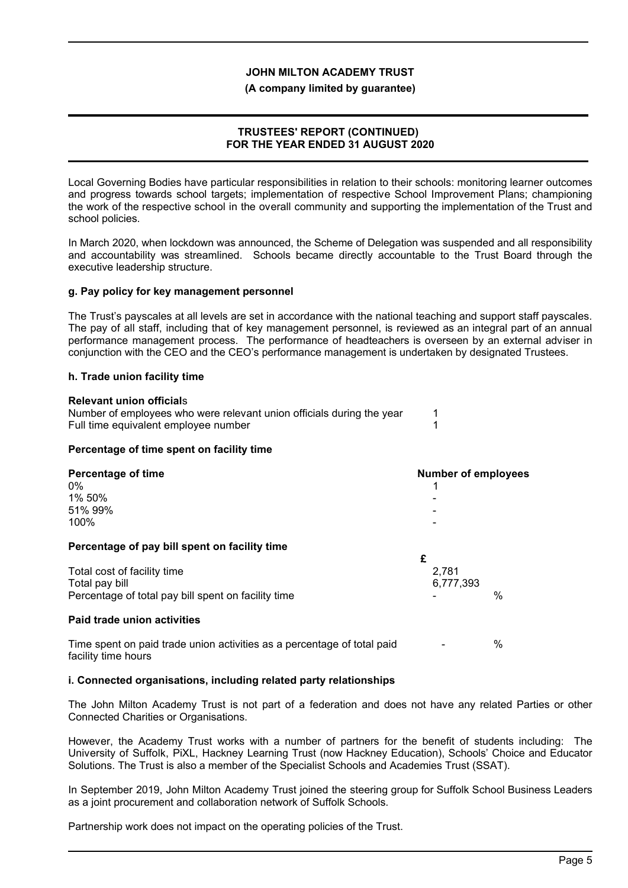#### **(A company limited by guarantee)**

### **TRUSTEES' REPORT (CONTINUED) FOR THE YEAR ENDED 31 AUGUST 2020**

Local Governing Bodies have particular responsibilities in relation to their schools: monitoring learner outcomes and progress towards school targets; implementation of respective School Improvement Plans; championing the work of the respective school in the overall community and supporting the implementation of the Trust and school policies.

In March 2020, when lockdown was announced, the Scheme of Delegation was suspended and all responsibility and accountability was streamlined. Schools became directly accountable to the Trust Board through the executive leadership structure.

#### **g. Pay policy for key management personnel**

The Trust's payscales at all levels are set in accordance with the national teaching and support staff payscales. The pay of all staff, including that of key management personnel, is reviewed as an integral part of an annual performance management process. The performance of headteachers is overseen by an external adviser in conjunction with the CEO and the CEO's performance management is undertaken by designated Trustees.

#### **h. Trade union facility time**

| <b>Relevant union officials</b>                                       |  |
|-----------------------------------------------------------------------|--|
| Number of employees who were relevant union officials during the year |  |
| Full time equivalent employee number                                  |  |

### **Percentage of time spent on facility time**

| <b>Percentage of time</b><br>$0\%$<br>1% 50%<br>51% 99%<br>100%                                      | <b>Number of employees</b><br>۰                |      |
|------------------------------------------------------------------------------------------------------|------------------------------------------------|------|
| Percentage of pay bill spent on facility time                                                        | £                                              |      |
| Total cost of facility time<br>Total pay bill<br>Percentage of total pay bill spent on facility time | 2,781<br>6,777,393<br>$\overline{\phantom{0}}$ | $\%$ |
| <b>Paid trade union activities</b>                                                                   |                                                |      |

Time spent on paid trade union activities as a percentage of total paid  $\sim$ facility time hours

#### **i. Connected organisations, including related party relationships**

The John Milton Academy Trust is not part of a federation and does not have any related Parties or other Connected Charities or Organisations.

However, the Academy Trust works with a number of partners for the benefit of students including: The University of Suffolk, PiXL, Hackney Learning Trust (now Hackney Education), Schools' Choice and Educator Solutions. The Trust is also a member of the Specialist Schools and Academies Trust (SSAT).

In September 2019, John Milton Academy Trust joined the steering group for Suffolk School Business Leaders as a joint procurement and collaboration network of Suffolk Schools.

Partnership work does not impact on the operating policies of the Trust.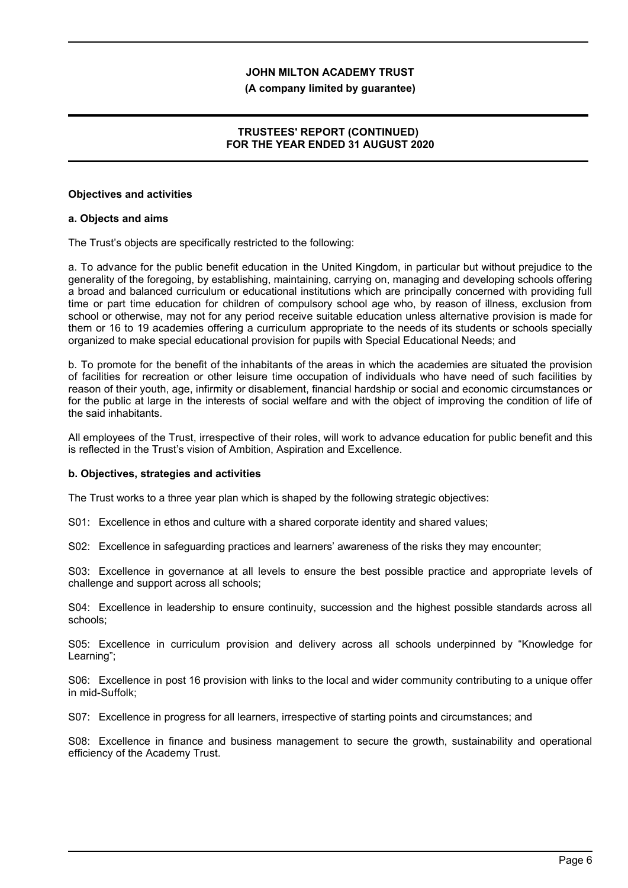#### **(A company limited by guarantee)**

## **TRUSTEES' REPORT (CONTINUED) FOR THE YEAR ENDED 31 AUGUST 2020**

#### **Objectives and activities**

#### **a. Objects and aims**

The Trust's objects are specifically restricted to the following:

a. To advance for the public benefit education in the United Kingdom, in particular but without prejudice to the generality of the foregoing, by establishing, maintaining, carrying on, managing and developing schools offering a broad and balanced curriculum or educational institutions which are principally concerned with providing full time or part time education for children of compulsory school age who, by reason of illness, exclusion from school or otherwise, may not for any period receive suitable education unless alternative provision is made for them or 16 to 19 academies offering a curriculum appropriate to the needs of its students or schools specially organized to make special educational provision for pupils with Special Educational Needs; and

b. To promote for the benefit of the inhabitants of the areas in which the academies are situated the provision of facilities for recreation or other leisure time occupation of individuals who have need of such facilities by reason of their youth, age, infirmity or disablement, financial hardship or social and economic circumstances or for the public at large in the interests of social welfare and with the object of improving the condition of life of the said inhabitants.

All employees of the Trust, irrespective of their roles, will work to advance education for public benefit and this is reflected in the Trust's vision of Ambition, Aspiration and Excellence.

#### **b. Objectives, strategies and activities**

The Trust works to a three year plan which is shaped by the following strategic objectives:

S01: Excellence in ethos and culture with a shared corporate identity and shared values;

S02: Excellence in safeguarding practices and learners' awareness of the risks they may encounter;

S03: Excellence in governance at all levels to ensure the best possible practice and appropriate levels of challenge and support across all schools;

S04: Excellence in leadership to ensure continuity, succession and the highest possible standards across all schools;

S05: Excellence in curriculum provision and delivery across all schools underpinned by "Knowledge for Learning";

S06: Excellence in post 16 provision with links to the local and wider community contributing to a unique offer in mid-Suffolk;

S07: Excellence in progress for all learners, irrespective of starting points and circumstances; and

S08: Excellence in finance and business management to secure the growth, sustainability and operational efficiency of the Academy Trust.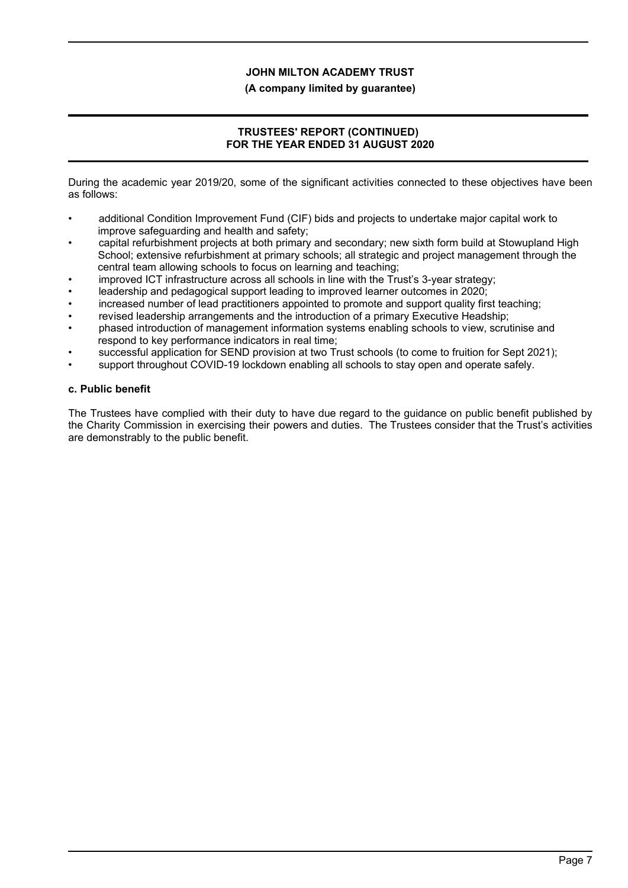### **(A company limited by guarantee)**

## **TRUSTEES' REPORT (CONTINUED) FOR THE YEAR ENDED 31 AUGUST 2020**

During the academic year 2019/20, some of the significant activities connected to these objectives have been as follows:

- additional Condition Improvement Fund (CIF) bids and projects to undertake major capital work to improve safeguarding and health and safety;
- capital refurbishment projects at both primary and secondary; new sixth form build at Stowupland High School; extensive refurbishment at primary schools; all strategic and project management through the central team allowing schools to focus on learning and teaching;
- improved ICT infrastructure across all schools in line with the Trust's 3-year strategy;
- leadership and pedagogical support leading to improved learner outcomes in 2020;
- increased number of lead practitioners appointed to promote and support quality first teaching;
- revised leadership arrangements and the introduction of a primary Executive Headship;
- phased introduction of management information systems enabling schools to view, scrutinise and respond to key performance indicators in real time;
- successful application for SEND provision at two Trust schools (to come to fruition for Sept 2021);
- support throughout COVID-19 lockdown enabling all schools to stay open and operate safely.

## **c. Public benefit**

The Trustees have complied with their duty to have due regard to the guidance on public benefit published by the Charity Commission in exercising their powers and duties. The Trustees consider that the Trust's activities are demonstrably to the public benefit.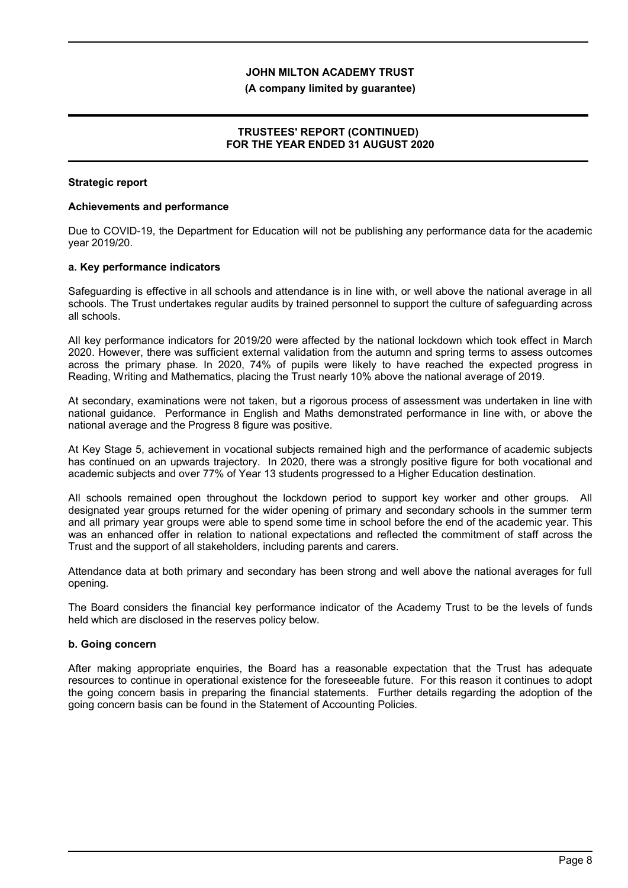#### **(A company limited by guarantee)**

### **TRUSTEES' REPORT (CONTINUED) FOR THE YEAR ENDED 31 AUGUST 2020**

#### **Strategic report**

#### **Achievements and performance**

Due to COVID-19, the Department for Education will not be publishing any performance data for the academic year 2019/20.

#### **a. Key performance indicators**

Safeguarding is effective in all schools and attendance is in line with, or well above the national average in all schools. The Trust undertakes regular audits by trained personnel to support the culture of safeguarding across all schools.

All key performance indicators for 2019/20 were affected by the national lockdown which took effect in March 2020. However, there was sufficient external validation from the autumn and spring terms to assess outcomes across the primary phase. In 2020, 74% of pupils were likely to have reached the expected progress in Reading, Writing and Mathematics, placing the Trust nearly 10% above the national average of 2019.

At secondary, examinations were not taken, but a rigorous process of assessment was undertaken in line with national guidance. Performance in English and Maths demonstrated performance in line with, or above the national average and the Progress 8 figure was positive.

At Key Stage 5, achievement in vocational subjects remained high and the performance of academic subjects has continued on an upwards trajectory. In 2020, there was a strongly positive figure for both vocational and academic subjects and over 77% of Year 13 students progressed to a Higher Education destination.

All schools remained open throughout the lockdown period to support key worker and other groups. All designated year groups returned for the wider opening of primary and secondary schools in the summer term and all primary year groups were able to spend some time in school before the end of the academic year. This was an enhanced offer in relation to national expectations and reflected the commitment of staff across the Trust and the support of all stakeholders, including parents and carers.

Attendance data at both primary and secondary has been strong and well above the national averages for full opening.

The Board considers the financial key performance indicator of the Academy Trust to be the levels of funds held which are disclosed in the reserves policy below.

### **b. Going concern**

After making appropriate enquiries, the Board has a reasonable expectation that the Trust has adequate resources to continue in operational existence for the foreseeable future. For this reason it continues to adopt the going concern basis in preparing the financial statements. Further details regarding the adoption of the going concern basis can be found in the Statement of Accounting Policies.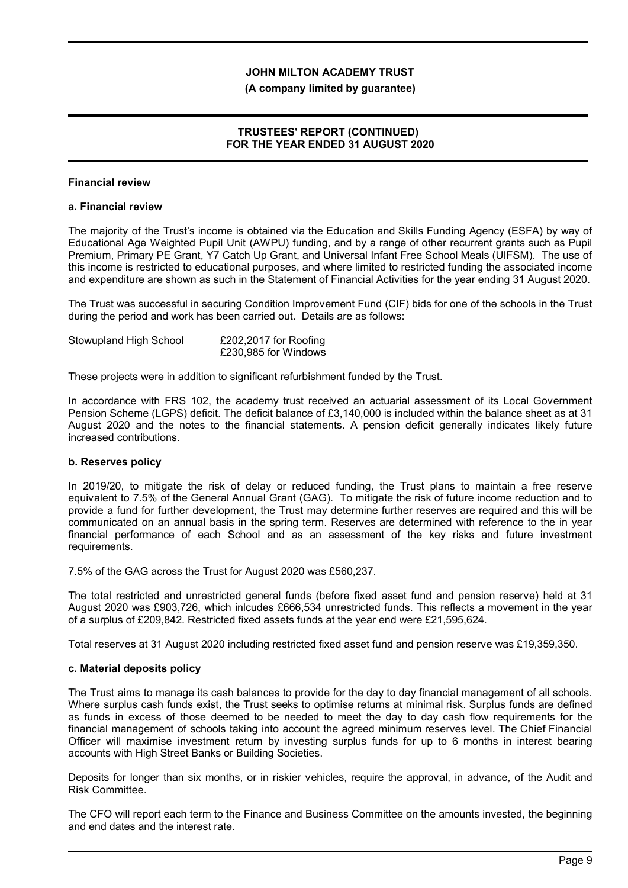#### **(A company limited by guarantee)**

## **TRUSTEES' REPORT (CONTINUED) FOR THE YEAR ENDED 31 AUGUST 2020**

### **Financial review**

#### **a. Financial review**

The majority of the Trust's income is obtained via the Education and Skills Funding Agency (ESFA) by way of Educational Age Weighted Pupil Unit (AWPU) funding, and by a range of other recurrent grants such as Pupil Premium, Primary PE Grant, Y7 Catch Up Grant, and Universal Infant Free School Meals (UIFSM). The use of this income is restricted to educational purposes, and where limited to restricted funding the associated income and expenditure are shown as such in the Statement of Financial Activities for the year ending 31 August 2020.

The Trust was successful in securing Condition Improvement Fund (CIF) bids for one of the schools in the Trust during the period and work has been carried out. Details are as follows:

| Stowupland High School | £202,2017 for Roofing |
|------------------------|-----------------------|
|                        | £230,985 for Windows  |

These projects were in addition to significant refurbishment funded by the Trust.

In accordance with FRS 102, the academy trust received an actuarial assessment of its Local Government Pension Scheme (LGPS) deficit. The deficit balance of £3,140,000 is included within the balance sheet as at 31 August 2020 and the notes to the financial statements. A pension deficit generally indicates likely future increased contributions.

### **b. Reserves policy**

In 2019/20, to mitigate the risk of delay or reduced funding, the Trust plans to maintain a free reserve equivalent to 7.5% of the General Annual Grant (GAG). To mitigate the risk of future income reduction and to provide a fund for further development, the Trust may determine further reserves are required and this will be communicated on an annual basis in the spring term. Reserves are determined with reference to the in year financial performance of each School and as an assessment of the key risks and future investment requirements.

7.5% of the GAG across the Trust for August 2020 was £560,237.

The total restricted and unrestricted general funds (before fixed asset fund and pension reserve) held at 31 August 2020 was £903,726, which inlcudes £666,534 unrestricted funds. This reflects a movement in the year of a surplus of £209,842. Restricted fixed assets funds at the year end were £21,595,624.

Total reserves at 31 August 2020 including restricted fixed asset fund and pension reserve was £19,359,350.

#### **c. Material deposits policy**

The Trust aims to manage its cash balances to provide for the day to day financial management of all schools. Where surplus cash funds exist, the Trust seeks to optimise returns at minimal risk. Surplus funds are defined as funds in excess of those deemed to be needed to meet the day to day cash flow requirements for the financial management of schools taking into account the agreed minimum reserves level. The Chief Financial Officer will maximise investment return by investing surplus funds for up to 6 months in interest bearing accounts with High Street Banks or Building Societies.

Deposits for longer than six months, or in riskier vehicles, require the approval, in advance, of the Audit and Risk Committee.

The CFO will report each term to the Finance and Business Committee on the amounts invested, the beginning and end dates and the interest rate.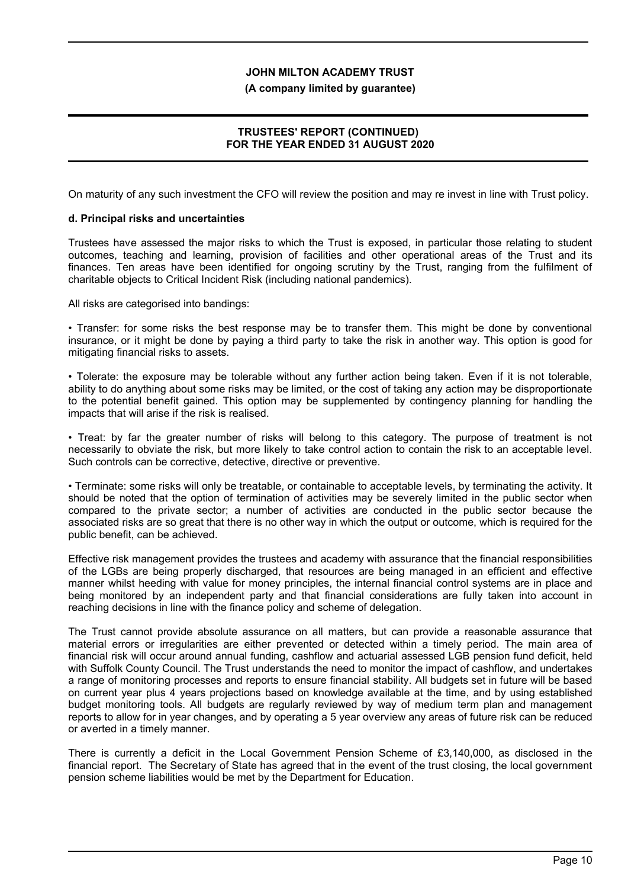#### **(A company limited by guarantee)**

## **TRUSTEES' REPORT (CONTINUED) FOR THE YEAR ENDED 31 AUGUST 2020**

On maturity of any such investment the CFO will review the position and may re invest in line with Trust policy.

#### **d. Principal risks and uncertainties**

Trustees have assessed the major risks to which the Trust is exposed, in particular those relating to student outcomes, teaching and learning, provision of facilities and other operational areas of the Trust and its finances. Ten areas have been identified for ongoing scrutiny by the Trust, ranging from the fulfilment of charitable objects to Critical Incident Risk (including national pandemics).

All risks are categorised into bandings:

• Transfer: for some risks the best response may be to transfer them. This might be done by conventional insurance, or it might be done by paying a third party to take the risk in another way. This option is good for mitigating financial risks to assets.

• Tolerate: the exposure may be tolerable without any further action being taken. Even if it is not tolerable, ability to do anything about some risks may be limited, or the cost of taking any action may be disproportionate to the potential benefit gained. This option may be supplemented by contingency planning for handling the impacts that will arise if the risk is realised.

• Treat: by far the greater number of risks will belong to this category. The purpose of treatment is not necessarily to obviate the risk, but more likely to take control action to contain the risk to an acceptable level. Such controls can be corrective, detective, directive or preventive.

• Terminate: some risks will only be treatable, or containable to acceptable levels, by terminating the activity. It should be noted that the option of termination of activities may be severely limited in the public sector when compared to the private sector; a number of activities are conducted in the public sector because the associated risks are so great that there is no other way in which the output or outcome, which is required for the public benefit, can be achieved.

Effective risk management provides the trustees and academy with assurance that the financial responsibilities of the LGBs are being properly discharged, that resources are being managed in an efficient and effective manner whilst heeding with value for money principles, the internal financial control systems are in place and being monitored by an independent party and that financial considerations are fully taken into account in reaching decisions in line with the finance policy and scheme of delegation.

The Trust cannot provide absolute assurance on all matters, but can provide a reasonable assurance that material errors or irregularities are either prevented or detected within a timely period. The main area of financial risk will occur around annual funding, cashflow and actuarial assessed LGB pension fund deficit, held with Suffolk County Council. The Trust understands the need to monitor the impact of cashflow, and undertakes a range of monitoring processes and reports to ensure financial stability. All budgets set in future will be based on current year plus 4 years projections based on knowledge available at the time, and by using established budget monitoring tools. All budgets are regularly reviewed by way of medium term plan and management reports to allow for in year changes, and by operating a 5 year overview any areas of future risk can be reduced or averted in a timely manner.

There is currently a deficit in the Local Government Pension Scheme of £3,140,000, as disclosed in the financial report. The Secretary of State has agreed that in the event of the trust closing, the local government pension scheme liabilities would be met by the Department for Education.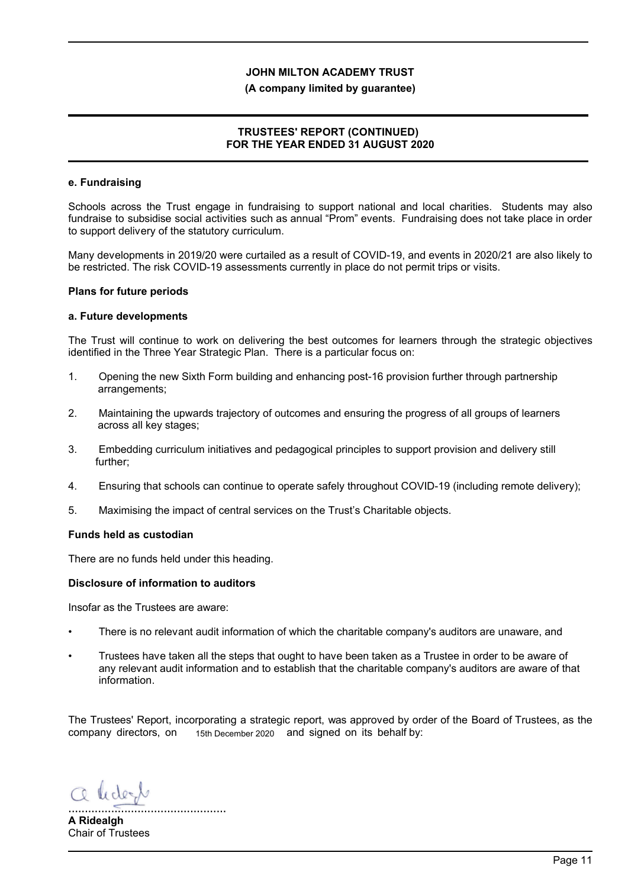#### **(A company limited by guarantee)**

## **TRUSTEES' REPORT (CONTINUED) FOR THE YEAR ENDED 31 AUGUST 2020**

#### **e. Fundraising**

Schools across the Trust engage in fundraising to support national and local charities. Students may also fundraise to subsidise social activities such as annual "Prom" events. Fundraising does not take place in order to support delivery of the statutory curriculum.

Many developments in 2019/20 were curtailed as a result of COVID-19, and events in 2020/21 are also likely to be restricted. The risk COVID-19 assessments currently in place do not permit trips or visits.

#### **Plans for future periods**

#### **a. Future developments**

The Trust will continue to work on delivering the best outcomes for learners through the strategic objectives identified in the Three Year Strategic Plan. There is a particular focus on:

- 1. Opening the new Sixth Form building and enhancing post-16 provision further through partnership arrangements;
- 2. Maintaining the upwards trajectory of outcomes and ensuring the progress of all groups of learners across all key stages;
- 3. Embedding curriculum initiatives and pedagogical principles to support provision and delivery still further;
- 4. Ensuring that schools can continue to operate safely throughout COVID-19 (including remote delivery);
- 5. Maximising the impact of central services on the Trust's Charitable objects.

#### **Funds held as custodian**

There are no funds held under this heading.

#### **Disclosure of information to auditors**

Insofar as the Trustees are aware:

- There is no relevant audit information of which the charitable company's auditors are unaware, and
- Trustees have taken all the steps that ought to have been taken as a Trustee in order to be aware of any relevant audit information and to establish that the charitable company's auditors are aware of that information.

The Trustees' Report, incorporating a strategic report, was approved by order of the Board of Trustees, as the company directors, on 15th December 2020 and signed on its behalf by:

a lidert

................................................ **A Ridealgh** Chair of Trustees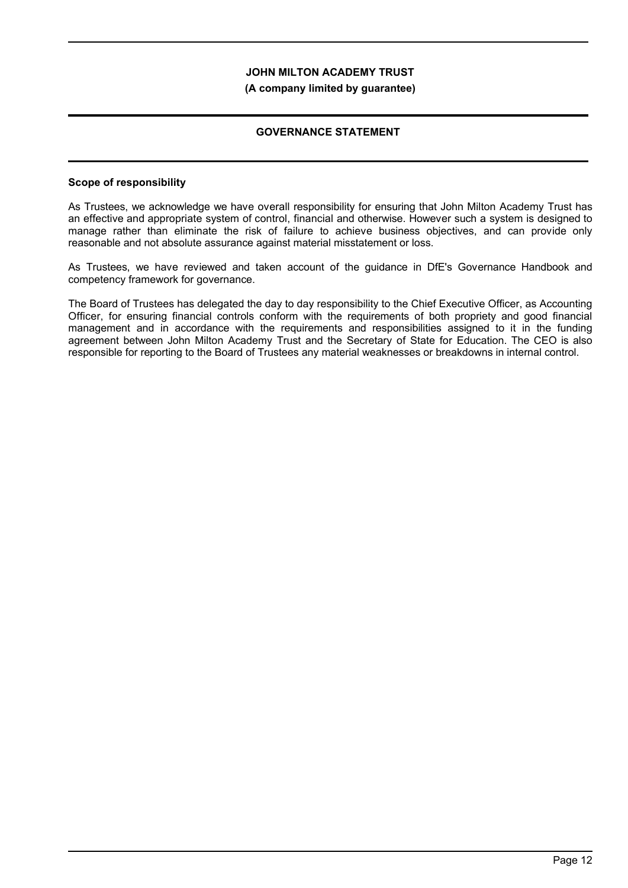#### **(A company limited by guarantee)**

### **GOVERNANCE STATEMENT**

### **Scope of responsibility**

As Trustees, we acknowledge we have overall responsibility for ensuring that John Milton Academy Trust has an effective and appropriate system of control, financial and otherwise. However such a system is designed to manage rather than eliminate the risk of failure to achieve business objectives, and can provide only reasonable and not absolute assurance against material misstatement or loss.

As Trustees, we have reviewed and taken account of the guidance in DfE's Governance Handbook and competency framework for governance.

The Board of Trustees has delegated the day to day responsibility to the Chief Executive Officer, as Accounting Officer, for ensuring financial controls conform with the requirements of both propriety and good financial management and in accordance with the requirements and responsibilities assigned to it in the funding agreement between John Milton Academy Trust and the Secretary of State for Education. The CEO is also responsible for reporting to the Board of Trustees any material weaknesses or breakdowns in internal control.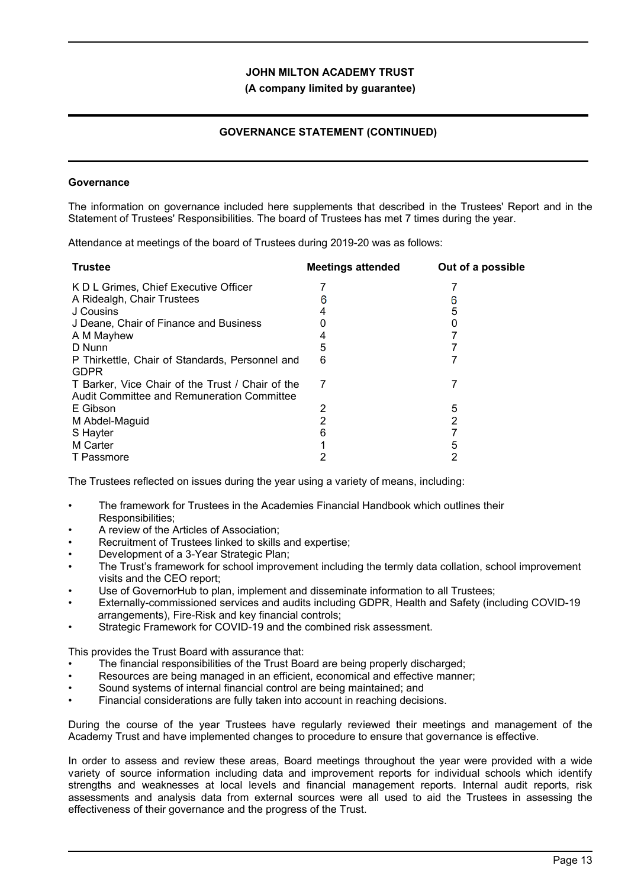### **(A company limited by guarantee)**

## **GOVERNANCE STATEMENT (CONTINUED)**

#### **Governance**

The information on governance included here supplements that described in the Trustees' Report and in the Statement of Trustees' Responsibilities. The board of Trustees has met 7 times during the year.

Attendance at meetings of the board of Trustees during 2019-20 was as follows:

| <b>Trustee</b>                                                                                 | <b>Meetings attended</b> | Out of a possible |
|------------------------------------------------------------------------------------------------|--------------------------|-------------------|
| K D L Grimes, Chief Executive Officer                                                          |                          |                   |
| A Ridealgh, Chair Trustees                                                                     |                          |                   |
| J Cousins                                                                                      |                          | 5                 |
| J Deane, Chair of Finance and Business                                                         |                          |                   |
| A M Mayhew                                                                                     |                          |                   |
| D Nunn                                                                                         | 5                        |                   |
| P Thirkettle, Chair of Standards, Personnel and<br><b>GDPR</b>                                 | 6                        |                   |
| T Barker, Vice Chair of the Trust / Chair of the<br>Audit Committee and Remuneration Committee | 7                        |                   |
| E Gibson                                                                                       | 2                        | 5                 |
| M Abdel-Maguid                                                                                 |                          | 2                 |
| S Hayter                                                                                       |                          |                   |
| M Carter                                                                                       |                          |                   |
| T Passmore                                                                                     |                          |                   |
|                                                                                                |                          |                   |

The Trustees reflected on issues during the year using a variety of means, including:

- The framework for Trustees in the Academies Financial Handbook which outlines their Responsibilities;
- A review of the Articles of Association;
- Recruitment of Trustees linked to skills and expertise;
- Development of a 3-Year Strategic Plan;
- The Trust's framework for school improvement including the termly data collation, school improvement visits and the CEO report;
- Use of GovernorHub to plan, implement and disseminate information to all Trustees;
- Externally-commissioned services and audits including GDPR, Health and Safety (including COVID-19 arrangements), Fire-Risk and key financial controls;
- Strategic Framework for COVID-19 and the combined risk assessment.

This provides the Trust Board with assurance that:

- The financial responsibilities of the Trust Board are being properly discharged;
- Resources are being managed in an efficient, economical and effective manner;
- Sound systems of internal financial control are being maintained; and
- Financial considerations are fully taken into account in reaching decisions.

During the course of the year Trustees have regularly reviewed their meetings and management of the Academy Trust and have implemented changes to procedure to ensure that governance is effective.

In order to assess and review these areas, Board meetings throughout the year were provided with a wide variety of source information including data and improvement reports for individual schools which identify strengths and weaknesses at local levels and financial management reports. Internal audit reports, risk assessments and analysis data from external sources were all used to aid the Trustees in assessing the effectiveness of their governance and the progress of the Trust.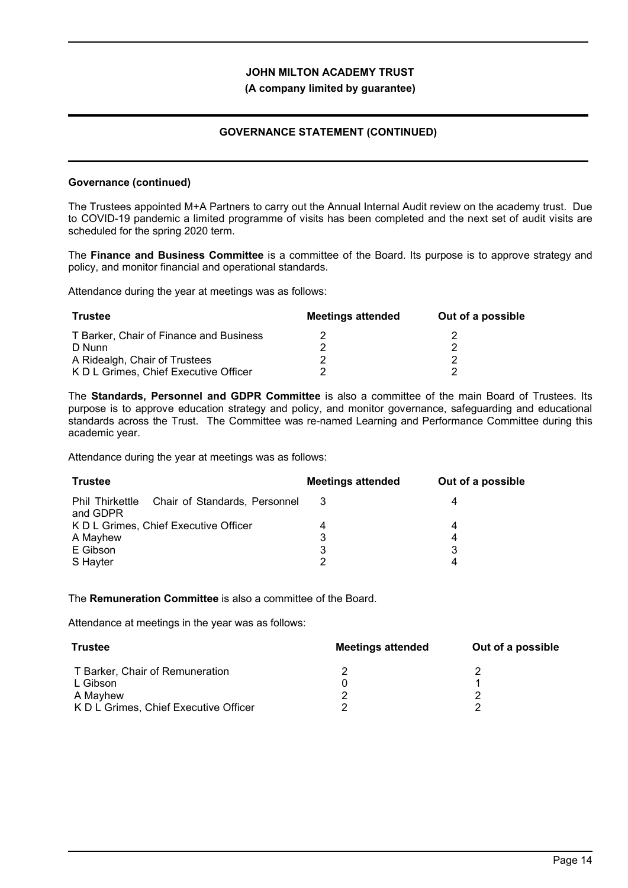## **(A company limited by guarantee)**

## **GOVERNANCE STATEMENT (CONTINUED)**

#### **Governance (continued)**

The Trustees appointed M+A Partners to carry out the Annual Internal Audit review on the academy trust. Due to COVID-19 pandemic a limited programme of visits has been completed and the next set of audit visits are scheduled for the spring 2020 term.

The **Finance and Business Committee** is a committee of the Board. Its purpose is to approve strategy and policy, and monitor financial and operational standards.

Attendance during the year at meetings was as follows:

| Trustee                                 | <b>Meetings attended</b> | Out of a possible |
|-----------------------------------------|--------------------------|-------------------|
| T Barker. Chair of Finance and Business |                          |                   |
| D Nunn                                  |                          |                   |
| A Ridealgh, Chair of Trustees           |                          |                   |
| K D L Grimes, Chief Executive Officer   |                          |                   |

The **Standards, Personnel and GDPR Committee** is also a committee of the main Board of Trustees. Its purpose is to approve education strategy and policy, and monitor governance, safeguarding and educational standards across the Trust. The Committee was re-named Learning and Performance Committee during this academic year.

Attendance during the year at meetings was as follows:

| <b>Trustee</b>                                            | <b>Meetings attended</b> | Out of a possible |
|-----------------------------------------------------------|--------------------------|-------------------|
| Phil Thirkettle Chair of Standards, Personnel<br>and GDPR |                          | 4                 |
| K D L Grimes, Chief Executive Officer                     |                          | 4                 |
| A Mayhew                                                  | 3                        | 4                 |
| E Gibson                                                  | 3                        | 3                 |
| S Hayter                                                  | ົ                        | 4                 |

The **Remuneration Committee** is also a committee of the Board.

Attendance at meetings in the year was as follows:

| <b>Trustee</b>                        | <b>Meetings attended</b> | Out of a possible |
|---------------------------------------|--------------------------|-------------------|
| T Barker, Chair of Remuneration       |                          |                   |
| L Gibson                              |                          |                   |
| A Mayhew                              |                          |                   |
| K D L Grimes, Chief Executive Officer |                          |                   |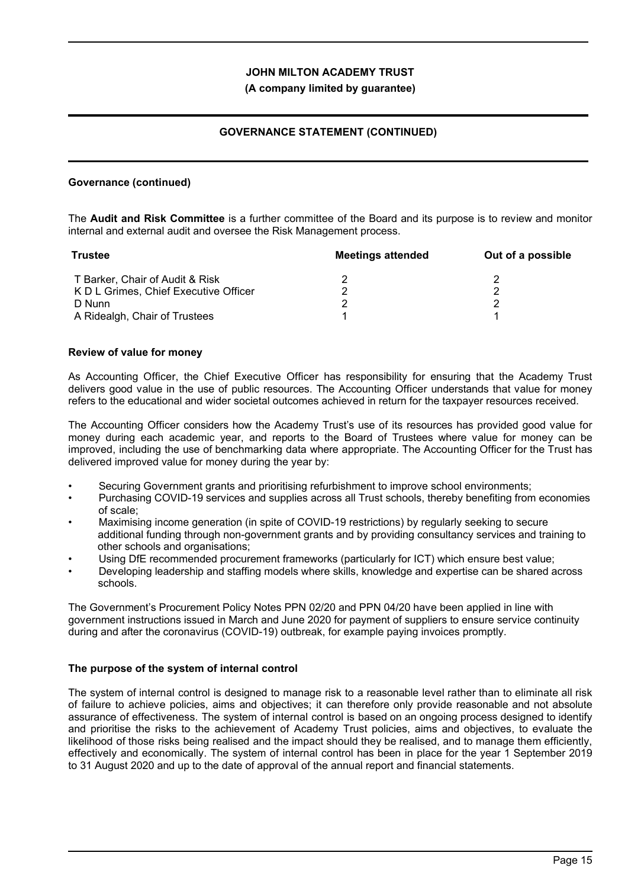### **(A company limited by guarantee)**

## **GOVERNANCE STATEMENT (CONTINUED)**

### **Governance (continued)**

The **Audit and Risk Committee** is a further committee of the Board and its purpose is to review and monitor internal and external audit and oversee the Risk Management process.

| <b>Trustee</b>                        | <b>Meetings attended</b> | Out of a possible |
|---------------------------------------|--------------------------|-------------------|
| T Barker, Chair of Audit & Risk       |                          |                   |
| K D L Grimes, Chief Executive Officer |                          |                   |
| D Nunn                                |                          |                   |
| A Ridealgh, Chair of Trustees         |                          |                   |

#### **Review of value for money**

As Accounting Officer, the Chief Executive Officer has responsibility for ensuring that the Academy Trust delivers good value in the use of public resources. The Accounting Officer understands that value for money refers to the educational and wider societal outcomes achieved in return for the taxpayer resources received.

The Accounting Officer considers how the Academy Trust's use of its resources has provided good value for money during each academic year, and reports to the Board of Trustees where value for money can be improved, including the use of benchmarking data where appropriate. The Accounting Officer for the Trust has delivered improved value for money during the year by:

- Securing Government grants and prioritising refurbishment to improve school environments;
- Purchasing COVID-19 services and supplies across all Trust schools, thereby benefiting from economies of scale;
- Maximising income generation (in spite of COVID-19 restrictions) by regularly seeking to secure additional funding through non-government grants and by providing consultancy services and training to other schools and organisations;
- Using DfE recommended procurement frameworks (particularly for ICT) which ensure best value;
- Developing leadership and staffing models where skills, knowledge and expertise can be shared across schools.

The Government's Procurement Policy Notes PPN 02/20 and PPN 04/20 have been applied in line with government instructions issued in March and June 2020 for payment of suppliers to ensure service continuity during and after the coronavirus (COVID-19) outbreak, for example paying invoices promptly.

### **The purpose of the system of internal control**

The system of internal control is designed to manage risk to a reasonable level rather than to eliminate all risk of failure to achieve policies, aims and objectives; it can therefore only provide reasonable and not absolute assurance of effectiveness. The system of internal control is based on an ongoing process designed to identify and prioritise the risks to the achievement of Academy Trust policies, aims and objectives, to evaluate the likelihood of those risks being realised and the impact should they be realised, and to manage them efficiently, effectively and economically. The system of internal control has been in place for the year 1 September 2019 to 31 August 2020 and up to the date of approval of the annual report and financial statements.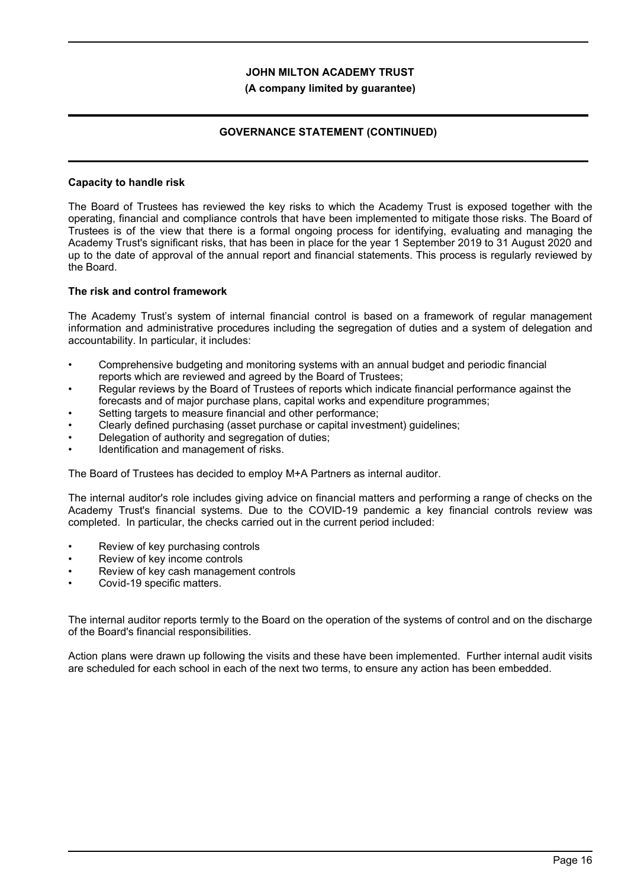#### **(A company limited by guarantee)**

## **GOVERNANCE STATEMENT (CONTINUED)**

#### **Capacity to handle risk**

The Board of Trustees has reviewed the key risks to which the Academy Trust is exposed together with the operating, financial and compliance controls that have been implemented to mitigate those risks. The Board of Trustees is of the view that there is a formal ongoing process for identifying, evaluating and managing the Academy Trust's significant risks, that has been in place for the year 1 September 2019 to 31 August 2020 and up to the date of approval of the annual report and financial statements. This process is regularly reviewed by the Board.

#### **The risk and control framework**

The Academy Trust's system of internal financial control is based on a framework of regular management information and administrative procedures including the segregation of duties and a system of delegation and accountability. In particular, it includes:

- Comprehensive budgeting and monitoring systems with an annual budget and periodic financial reports which are reviewed and agreed by the Board of Trustees;
- Regular reviews by the Board of Trustees of reports which indicate financial performance against the forecasts and of major purchase plans, capital works and expenditure programmes;
- Setting targets to measure financial and other performance;
- Clearly defined purchasing (asset purchase or capital investment) guidelines;
- Delegation of authority and segregation of duties;
- Identification and management of risks.

The Board of Trustees has decided to employ M+A Partners as internal auditor.

The internal auditor's role includes giving advice on financial matters and performing a range of checks on the Academy Trust's financial systems. Due to the COVID-19 pandemic a key financial controls review was completed. In particular, the checks carried out in the current period included:

- Review of key purchasing controls
- Review of key income controls
- Review of key cash management controls
- Covid-19 specific matters.

The internal auditor reports termly to the Board on the operation of the systems of control and on the discharge of the Board's financial responsibilities.

Action plans were drawn up following the visits and these have been implemented. Further internal audit visits are scheduled for each school in each of the next two terms, to ensure any action has been embedded.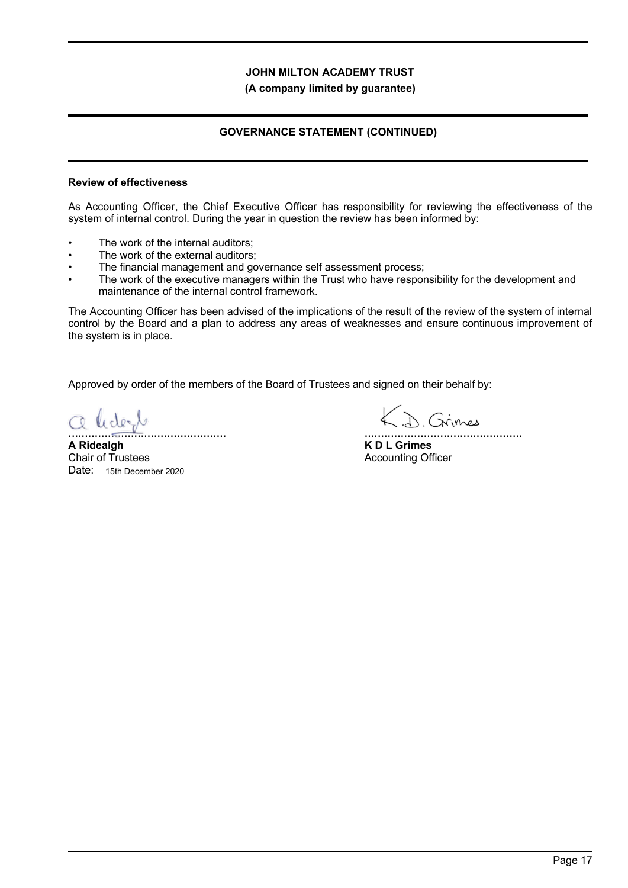**(A company limited by guarantee)**

## **GOVERNANCE STATEMENT (CONTINUED)**

#### **Review of effectiveness**

As Accounting Officer, the Chief Executive Officer has responsibility for reviewing the effectiveness of the system of internal control. During the year in question the review has been informed by:

- The work of the internal auditors:
- The work of the external auditors:
- The financial management and governance self assessment process;
- The work of the executive managers within the Trust who have responsibility for the development and maintenance of the internal control framework.

The Accounting Officer has been advised of the implications of the result of the review of the system of internal control by the Board and a plan to address any areas of weaknesses and ensure continuous improvement of the system is in place.

Approved by order of the members of the Board of Trustees and signed on their behalf by:

o ledert ................................................

**A Ridealgh** Chair of Trustees Date: 15th December 2020

(D. Grimes ................................................

**K D L Grimes** Accounting Officer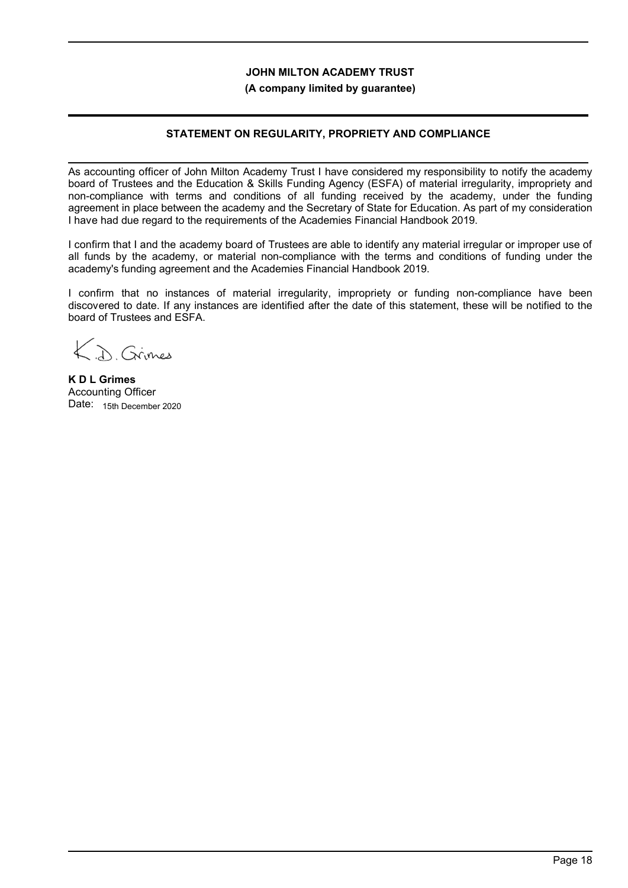### **(A company limited by guarantee)**

## **STATEMENT ON REGULARITY, PROPRIETY AND COMPLIANCE**

As accounting officer of John Milton Academy Trust I have considered my responsibility to notify the academy board of Trustees and the Education & Skills Funding Agency (ESFA) of material irregularity, impropriety and non-compliance with terms and conditions of all funding received by the academy, under the funding agreement in place between the academy and the Secretary of State for Education. As part of my consideration I have had due regard to the requirements of the Academies Financial Handbook 2019.

I confirm that I and the academy board of Trustees are able to identify any material irregular or improper use of all funds by the academy, or material non-compliance with the terms and conditions of funding under the academy's funding agreement and the Academies Financial Handbook 2019.

I confirm that no instances of material irregularity, impropriety or funding non-compliance have been discovered to date. If any instances are identified after the date of this statement, these will be notified to the board of Trustees and ESFA.

A Grimer

**K D L Grimes** Accounting Officer Date: 15th December 2020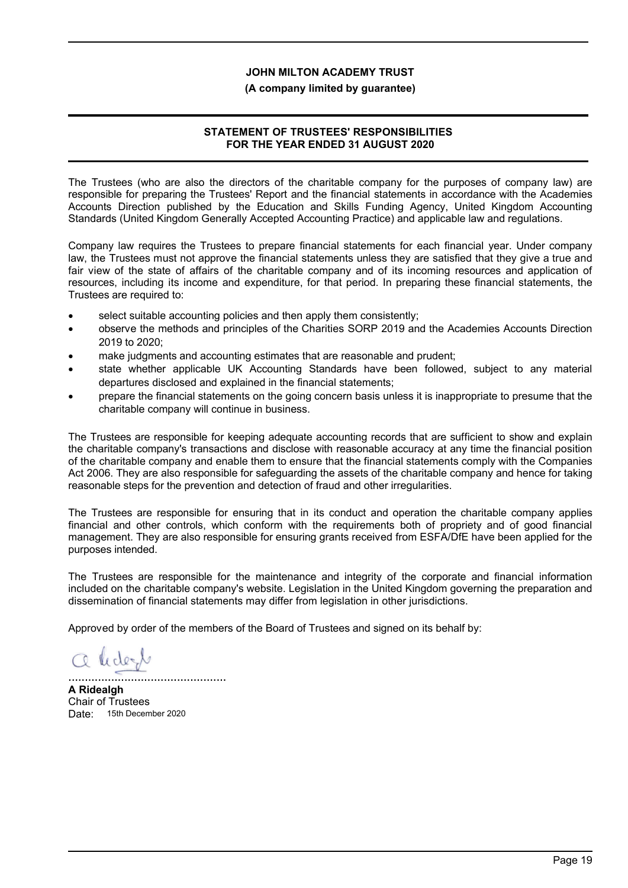#### **(A company limited by guarantee)**

## **STATEMENT OF TRUSTEES' RESPONSIBILITIES FOR THE YEAR ENDED 31 AUGUST 2020**

The Trustees (who are also the directors of the charitable company for the purposes of company law) are responsible for preparing the Trustees' Report and the financial statements in accordance with the Academies Accounts Direction published by the Education and Skills Funding Agency, United Kingdom Accounting Standards (United Kingdom Generally Accepted Accounting Practice) and applicable law and regulations.

Company law requires the Trustees to prepare financial statements for each financial year. Under company law, the Trustees must not approve the financial statements unless they are satisfied that they give a true and fair view of the state of affairs of the charitable company and of its incoming resources and application of resources, including its income and expenditure, for that period. In preparing these financial statements, the Trustees are required to:

- select suitable accounting policies and then apply them consistently;
- observe the methods and principles of the Charities SORP 2019 and the Academies Accounts Direction 2019 to 2020;
- make judgments and accounting estimates that are reasonable and prudent;
- state whether applicable UK Accounting Standards have been followed, subject to any material departures disclosed and explained in the financial statements;
- prepare the financial statements on the going concern basis unless it is inappropriate to presume that the charitable company will continue in business.

The Trustees are responsible for keeping adequate accounting records that are sufficient to show and explain the charitable company's transactions and disclose with reasonable accuracy at any time the financial position of the charitable company and enable them to ensure that the financial statements comply with the Companies Act 2006. They are also responsible for safeguarding the assets of the charitable company and hence for taking reasonable steps for the prevention and detection of fraud and other irregularities.

The Trustees are responsible for ensuring that in its conduct and operation the charitable company applies financial and other controls, which conform with the requirements both of propriety and of good financial management. They are also responsible for ensuring grants received from ESFA/DfE have been applied for the purposes intended.

The Trustees are responsible for the maintenance and integrity of the corporate and financial information included on the charitable company's website. Legislation in the United Kingdom governing the preparation and dissemination of financial statements may differ from legislation in other jurisdictions.

Approved by order of the members of the Board of Trustees and signed on its behalf by:

Ridert

................................................ **A Ridealgh**

Chair of Trustees Date: 15th December 2020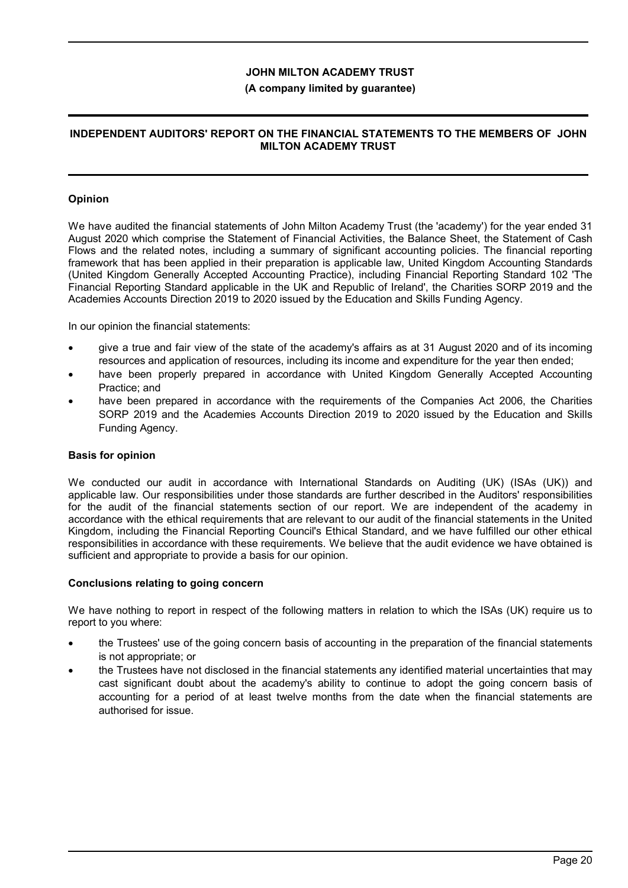### **(A company limited by guarantee)**

### **INDEPENDENT AUDITORS' REPORT ON THE FINANCIAL STATEMENTS TO THE MEMBERS OF JOHN MILTON ACADEMY TRUST**

### **Opinion**

We have audited the financial statements of John Milton Academy Trust (the 'academy') for the year ended 31 August 2020 which comprise the Statement of Financial Activities, the Balance Sheet, the Statement of Cash Flows and the related notes, including a summary of significant accounting policies. The financial reporting framework that has been applied in their preparation is applicable law, United Kingdom Accounting Standards (United Kingdom Generally Accepted Accounting Practice), including Financial Reporting Standard 102 'The Financial Reporting Standard applicable in the UK and Republic of Ireland', the Charities SORP 2019 and the Academies Accounts Direction 2019 to 2020 issued by the Education and Skills Funding Agency.

In our opinion the financial statements:

- give a true and fair view of the state of the academy's affairs as at 31 August 2020 and of its incoming resources and application of resources, including its income and expenditure for the year then ended;
- have been properly prepared in accordance with United Kingdom Generally Accepted Accounting Practice; and
- have been prepared in accordance with the requirements of the Companies Act 2006, the Charities SORP 2019 and the Academies Accounts Direction 2019 to 2020 issued by the Education and Skills Funding Agency.

#### **Basis for opinion**

We conducted our audit in accordance with International Standards on Auditing (UK) (ISAs (UK)) and applicable law. Our responsibilities under those standards are further described in the Auditors' responsibilities for the audit of the financial statements section of our report. We are independent of the academy in accordance with the ethical requirements that are relevant to our audit of the financial statements in the United Kingdom, including the Financial Reporting Council's Ethical Standard, and we have fulfilled our other ethical responsibilities in accordance with these requirements. We believe that the audit evidence we have obtained is sufficient and appropriate to provide a basis for our opinion.

#### **Conclusions relating to going concern**

We have nothing to report in respect of the following matters in relation to which the ISAs (UK) require us to report to you where:

- the Trustees' use of the going concern basis of accounting in the preparation of the financial statements is not appropriate; or
- the Trustees have not disclosed in the financial statements any identified material uncertainties that may cast significant doubt about the academy's ability to continue to adopt the going concern basis of accounting for a period of at least twelve months from the date when the financial statements are authorised for issue.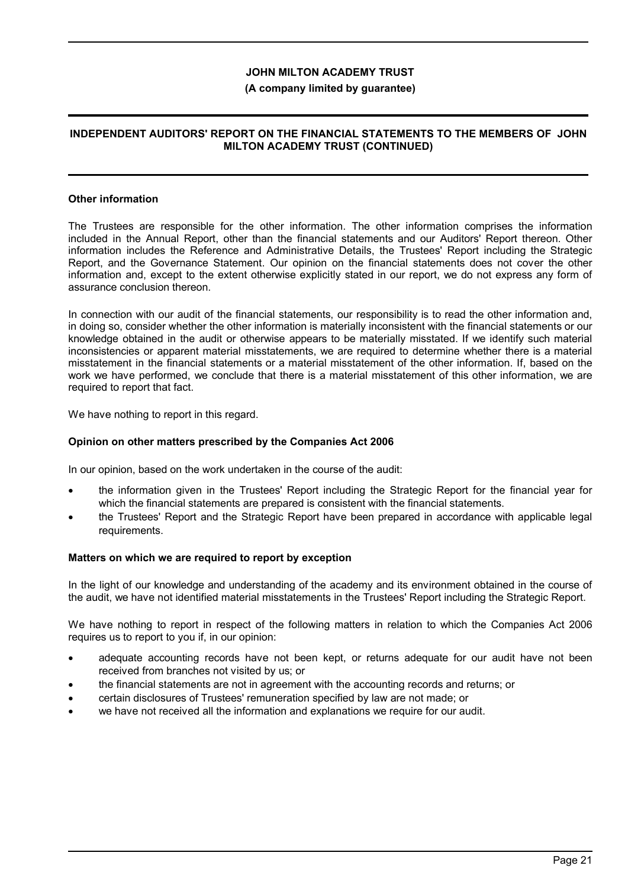#### **(A company limited by guarantee)**

### **INDEPENDENT AUDITORS' REPORT ON THE FINANCIAL STATEMENTS TO THE MEMBERS OF JOHN MILTON ACADEMY TRUST (CONTINUED)**

#### **Other information**

The Trustees are responsible for the other information. The other information comprises the information included in the Annual Report, other than the financial statements and our Auditors' Report thereon. Other information includes the Reference and Administrative Details, the Trustees' Report including the Strategic Report, and the Governance Statement. Our opinion on the financial statements does not cover the other information and, except to the extent otherwise explicitly stated in our report, we do not express any form of assurance conclusion thereon.

In connection with our audit of the financial statements, our responsibility is to read the other information and, in doing so, consider whether the other information is materially inconsistent with the financial statements or our knowledge obtained in the audit or otherwise appears to be materially misstated. If we identify such material inconsistencies or apparent material misstatements, we are required to determine whether there is a material misstatement in the financial statements or a material misstatement of the other information. If, based on the work we have performed, we conclude that there is a material misstatement of this other information, we are required to report that fact.

We have nothing to report in this regard.

### **Opinion on other matters prescribed by the Companies Act 2006**

In our opinion, based on the work undertaken in the course of the audit:

- the information given in the Trustees' Report including the Strategic Report for the financial year for which the financial statements are prepared is consistent with the financial statements.
- the Trustees' Report and the Strategic Report have been prepared in accordance with applicable legal requirements.

#### **Matters on which we are required to report by exception**

In the light of our knowledge and understanding of the academy and its environment obtained in the course of the audit, we have not identified material misstatements in the Trustees' Report including the Strategic Report.

We have nothing to report in respect of the following matters in relation to which the Companies Act 2006 requires us to report to you if, in our opinion:

- adequate accounting records have not been kept, or returns adequate for our audit have not been received from branches not visited by us; or
- the financial statements are not in agreement with the accounting records and returns; or
- certain disclosures of Trustees' remuneration specified by law are not made; or
- we have not received all the information and explanations we require for our audit.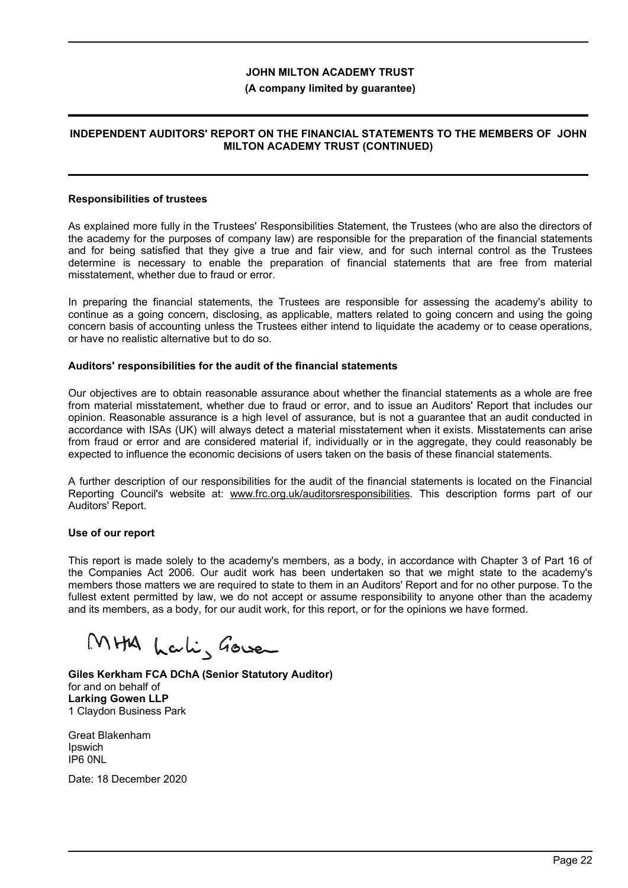#### **(A company limited by guarantee)**

### **INDEPENDENT AUDITORS' REPORT ON THE FINANCIAL STATEMENTS TO THE MEMBERS OF JOHN MILTON ACADEMY TRUST (CONTINUED)**

#### **Responsibilities of trustees**

As explained more fully in the Trustees' Responsibilities Statement, the Trustees (who are also the directors of the academy for the purposes of company law) are responsible for the preparation of the financial statements and for being satisfied that they give a true and fair view, and for such internal control as the Trustees determine is necessary to enable the preparation of financial statements that are free from material misstatement, whether due to fraud or error.

In preparing the financial statements, the Trustees are responsible for assessing the academy's ability to continue as a going concern, disclosing, as applicable, matters related to going concern and using the going concern basis of accounting unless the Trustees either intend to liquidate the academy or to cease operations, or have no realistic alternative but to do so.

#### **Auditors' responsibilities for the audit of the financial statements**

Our objectives are to obtain reasonable assurance about whether the financial statements as a whole are free from material misstatement, whether due to fraud or error, and to issue an Auditors' Report that includes our opinion. Reasonable assurance is a high level of assurance, but is not a guarantee that an audit conducted in accordance with ISAs (UK) will always detect a material misstatement when it exists. Misstatements can arise from fraud or error and are considered material if, individually or in the aggregate, they could reasonably be expected to influence the economic decisions of users taken on the basis of these financial statements.

A further description of our responsibilities for the audit of the financial statements is located on the Financial Reporting Council's website at: www.frc.org.uk/auditorsresponsibilities. This description forms part of our Auditors' Report.

#### **Use of our report**

This report is made solely to the academy's members, as a body, in accordance with Chapter 3 of Part 16 of the Companies Act 2006. Our audit work has been undertaken so that we might state to the academy's members those matters we are required to state to them in an Auditors' Report and for no other purpose. To the fullest extent permitted by law, we do not accept or assume responsibility to anyone other than the academy and its members, as a body, for our audit work, for this report, or for the opinions we have formed.

MHA Lali, Gover

**Giles Kerkham FCA DChA (Senior Statutory Auditor)** for and on behalf of **Larking Gowen LLP** 1 Claydon Business Park

Great Blakenham Ipswich IP6 0NL

Date: 18 December 2020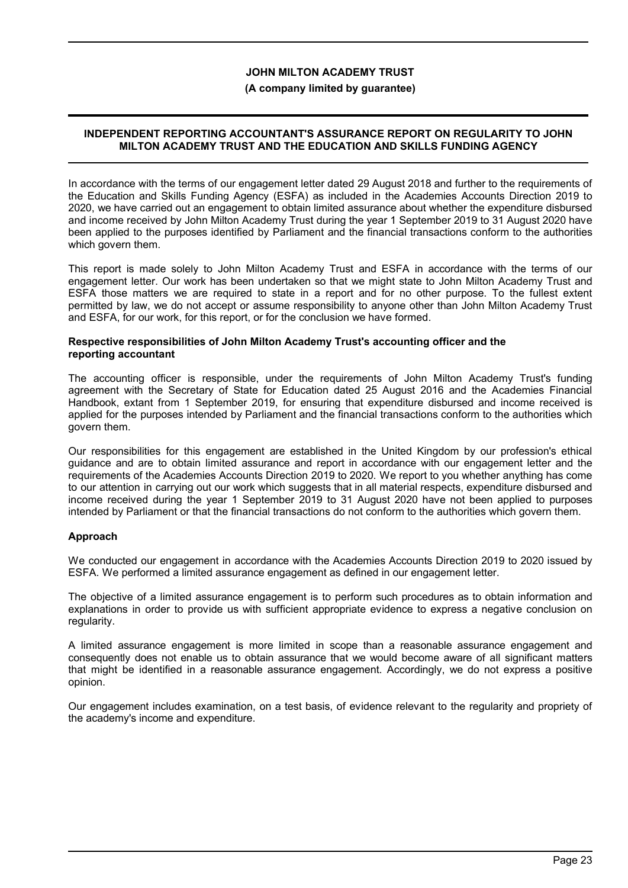#### **(A company limited by guarantee)**

### **INDEPENDENT REPORTING ACCOUNTANT'S ASSURANCE REPORT ON REGULARITY TO JOHN MILTON ACADEMY TRUST AND THE EDUCATION AND SKILLS FUNDING AGENCY**

In accordance with the terms of our engagement letter dated 29 August 2018 and further to the requirements of the Education and Skills Funding Agency (ESFA) as included in the Academies Accounts Direction 2019 to 2020, we have carried out an engagement to obtain limited assurance about whether the expenditure disbursed and income received by John Milton Academy Trust during the year 1 September 2019 to 31 August 2020 have been applied to the purposes identified by Parliament and the financial transactions conform to the authorities which govern them.

This report is made solely to John Milton Academy Trust and ESFA in accordance with the terms of our engagement letter. Our work has been undertaken so that we might state to John Milton Academy Trust and ESFA those matters we are required to state in a report and for no other purpose. To the fullest extent permitted by law, we do not accept or assume responsibility to anyone other than John Milton Academy Trust and ESFA, for our work, for this report, or for the conclusion we have formed.

#### **Respective responsibilities of John Milton Academy Trust's accounting officer and the reporting accountant**

The accounting officer is responsible, under the requirements of John Milton Academy Trust's funding agreement with the Secretary of State for Education dated 25 August 2016 and the Academies Financial Handbook, extant from 1 September 2019, for ensuring that expenditure disbursed and income received is applied for the purposes intended by Parliament and the financial transactions conform to the authorities which govern them.

Our responsibilities for this engagement are established in the United Kingdom by our profession's ethical guidance and are to obtain limited assurance and report in accordance with our engagement letter and the requirements of the Academies Accounts Direction 2019 to 2020. We report to you whether anything has come to our attention in carrying out our work which suggests that in all material respects, expenditure disbursed and income received during the year 1 September 2019 to 31 August 2020 have not been applied to purposes intended by Parliament or that the financial transactions do not conform to the authorities which govern them.

### **Approach**

We conducted our engagement in accordance with the Academies Accounts Direction 2019 to 2020 issued by ESFA. We performed a limited assurance engagement as defined in our engagement letter.

The objective of a limited assurance engagement is to perform such procedures as to obtain information and explanations in order to provide us with sufficient appropriate evidence to express a negative conclusion on regularity.

A limited assurance engagement is more limited in scope than a reasonable assurance engagement and consequently does not enable us to obtain assurance that we would become aware of all significant matters that might be identified in a reasonable assurance engagement. Accordingly, we do not express a positive opinion.

Our engagement includes examination, on a test basis, of evidence relevant to the regularity and propriety of the academy's income and expenditure.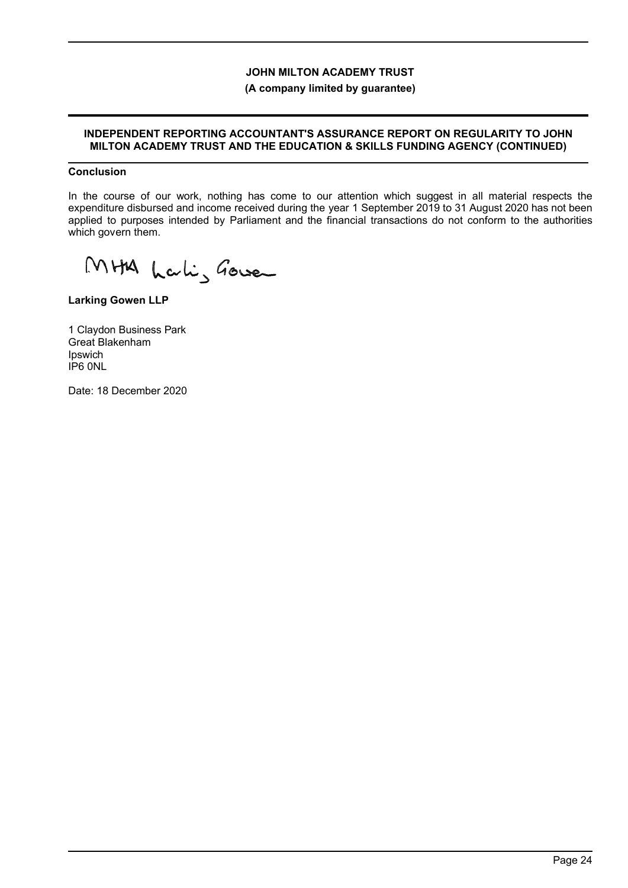## **(A company limited by guarantee)**

#### **INDEPENDENT REPORTING ACCOUNTANT'S ASSURANCE REPORT ON REGULARITY TO JOHN MILTON ACADEMY TRUST AND THE EDUCATION & SKILLS FUNDING AGENCY (CONTINUED)**

### **Conclusion**

In the course of our work, nothing has come to our attention which suggest in all material respects the expenditure disbursed and income received during the year 1 September 2019 to 31 August 2020 has not been applied to purposes intended by Parliament and the financial transactions do not conform to the authorities which govern them.

MHA Lali, Gover

**Larking Gowen LLP**

1 Claydon Business Park Great Blakenham Ipswich IP6 0NL

Date: 18 December 2020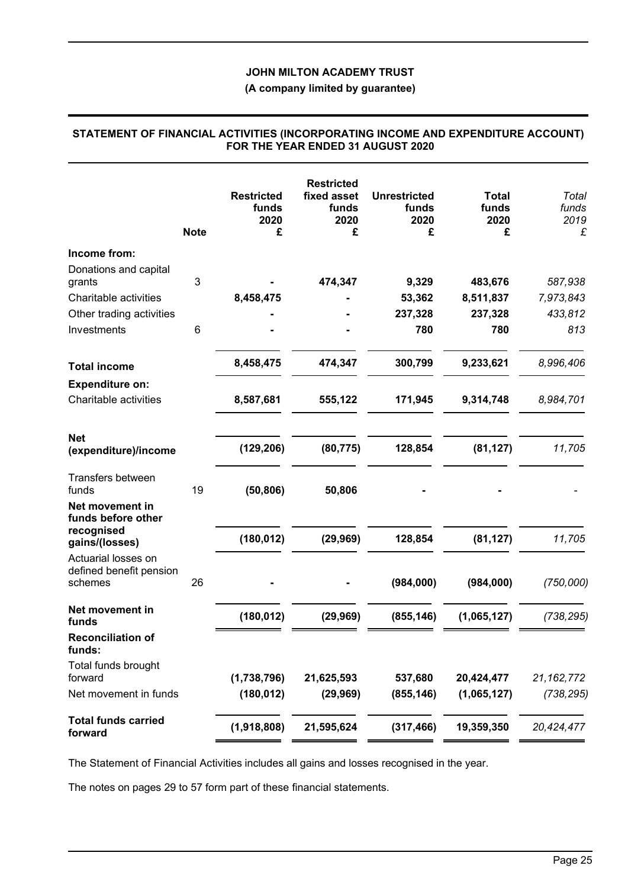## **(A company limited by guarantee)**

## **STATEMENT OF FINANCIAL ACTIVITIES (INCORPORATING INCOME AND EXPENDITURE ACCOUNT) FOR THE YEAR ENDED 31 AUGUST 2020**

|                                                           | <b>Note</b> | <b>Restricted</b><br>funds<br>2020<br>£ | <b>Restricted</b><br>fixed asset<br>funds<br>2020<br>£ | <b>Unrestricted</b><br>funds<br>2020<br>£ | <b>Total</b><br>funds<br>2020<br>£ | Total<br>funds<br>2019<br>£ |
|-----------------------------------------------------------|-------------|-----------------------------------------|--------------------------------------------------------|-------------------------------------------|------------------------------------|-----------------------------|
| Income from:                                              |             |                                         |                                                        |                                           |                                    |                             |
| Donations and capital                                     |             |                                         |                                                        |                                           |                                    |                             |
| grants                                                    | 3           |                                         | 474,347                                                | 9,329                                     | 483,676                            | 587,938                     |
| Charitable activities                                     |             | 8,458,475                               |                                                        | 53,362                                    | 8,511,837                          | 7,973,843                   |
| Other trading activities                                  |             |                                         |                                                        | 237,328                                   | 237,328                            | 433,812                     |
| Investments                                               | 6           |                                         |                                                        | 780                                       | 780                                | 813                         |
| <b>Total income</b>                                       |             | 8,458,475                               | 474,347                                                | 300,799                                   | 9,233,621                          | 8,996,406                   |
| <b>Expenditure on:</b>                                    |             |                                         |                                                        |                                           |                                    |                             |
| Charitable activities                                     |             | 8,587,681                               | 555,122                                                | 171,945                                   | 9,314,748                          | 8,984,701                   |
| <b>Net</b>                                                |             |                                         |                                                        |                                           |                                    |                             |
| (expenditure)/income                                      |             | (129, 206)                              | (80, 775)                                              | 128,854                                   | (81, 127)                          | 11,705                      |
| Transfers between<br>funds                                | 19          | (50, 806)                               | 50,806                                                 |                                           |                                    |                             |
| Net movement in<br>funds before other                     |             |                                         |                                                        |                                           |                                    |                             |
| recognised<br>gains/(losses)                              |             | (180, 012)                              | (29, 969)                                              | 128,854                                   | (81, 127)                          | 11,705                      |
| Actuarial losses on<br>defined benefit pension<br>schemes | 26          |                                         |                                                        | (984,000)                                 | (984,000)                          | (750,000)                   |
|                                                           |             |                                         |                                                        |                                           |                                    |                             |
| Net movement in<br>funds                                  |             | (180, 012)                              | (29, 969)                                              | (855, 146)                                | (1,065,127)                        | (738, 295)                  |
| <b>Reconciliation of</b><br>funds:                        |             |                                         |                                                        |                                           |                                    |                             |
| Total funds brought<br>forward                            |             | (1,738,796)                             | 21,625,593                                             | 537,680                                   | 20,424,477                         | 21, 162, 772                |
| Net movement in funds                                     |             | (180, 012)                              | (29, 969)                                              | (855, 146)                                | (1,065,127)                        | (738, 295)                  |
|                                                           |             |                                         |                                                        |                                           |                                    |                             |
| <b>Total funds carried</b><br>forward                     |             | (1,918,808)                             | 21,595,624                                             | (317, 466)                                | 19,359,350                         | 20,424,477                  |

The Statement of Financial Activities includes all gains and losses recognised in the year.

The notes on pages 29 to 57 form part of these financial statements.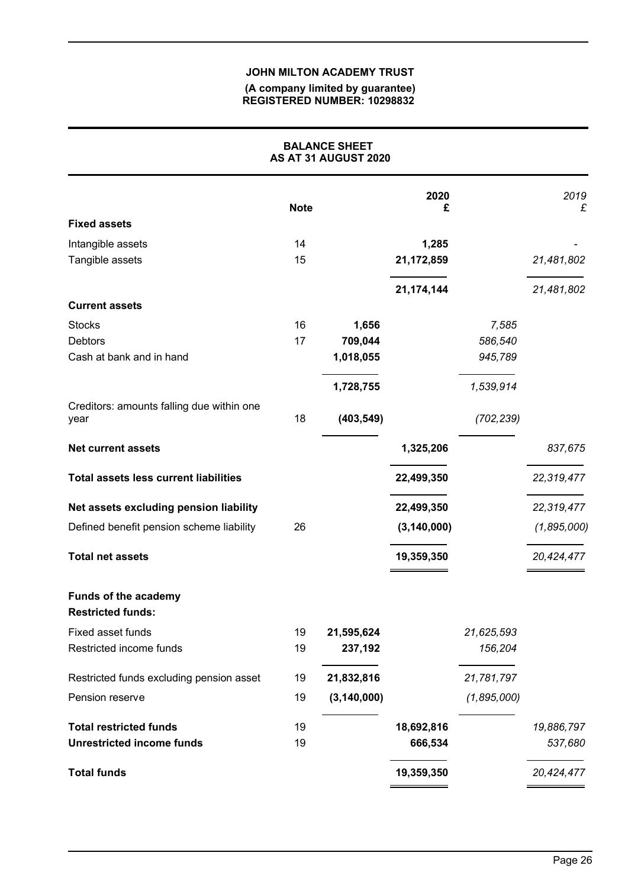#### **(A company limited by guarantee) REGISTERED NUMBER: 10298832**

|                                                         |             | <b>BALANCE SHEET</b><br>AS AT 31 AUGUST 2020 |               |             |             |
|---------------------------------------------------------|-------------|----------------------------------------------|---------------|-------------|-------------|
|                                                         | <b>Note</b> |                                              | 2020<br>£     |             | 2019<br>£   |
| <b>Fixed assets</b>                                     |             |                                              |               |             |             |
| Intangible assets                                       | 14          |                                              | 1,285         |             |             |
| Tangible assets                                         | 15          |                                              | 21,172,859    |             | 21,481,802  |
|                                                         |             |                                              | 21, 174, 144  |             | 21,481,802  |
| <b>Current assets</b>                                   |             |                                              |               |             |             |
| <b>Stocks</b>                                           | 16          | 1,656                                        |               | 7,585       |             |
| <b>Debtors</b>                                          | 17          | 709,044                                      |               | 586,540     |             |
| Cash at bank and in hand                                |             | 1,018,055                                    |               | 945,789     |             |
|                                                         |             | 1,728,755                                    |               | 1,539,914   |             |
| Creditors: amounts falling due within one<br>year       | 18          | (403, 549)                                   |               | (702, 239)  |             |
| <b>Net current assets</b>                               |             |                                              | 1,325,206     |             | 837,675     |
| <b>Total assets less current liabilities</b>            |             |                                              | 22,499,350    |             | 22,319,477  |
| Net assets excluding pension liability                  |             |                                              | 22,499,350    |             | 22,319,477  |
| Defined benefit pension scheme liability                | 26          |                                              | (3, 140, 000) |             | (1,895,000) |
| <b>Total net assets</b>                                 |             |                                              | 19,359,350    |             | 20,424,477  |
| <b>Funds of the academy</b><br><b>Restricted funds:</b> |             |                                              |               |             |             |
| Fixed asset funds                                       | 19          | 21,595,624                                   |               | 21,625,593  |             |
| Restricted income funds                                 | 19          | 237,192                                      |               | 156,204     |             |
| Restricted funds excluding pension asset                | 19          | 21,832,816                                   |               | 21,781,797  |             |
| Pension reserve                                         | 19          | (3, 140, 000)                                |               | (1,895,000) |             |
| <b>Total restricted funds</b>                           | 19          |                                              | 18,692,816    |             | 19,886,797  |
| <b>Unrestricted income funds</b>                        | 19          |                                              | 666,534       |             | 537,680     |
| <b>Total funds</b>                                      |             |                                              | 19,359,350    |             | 20,424,477  |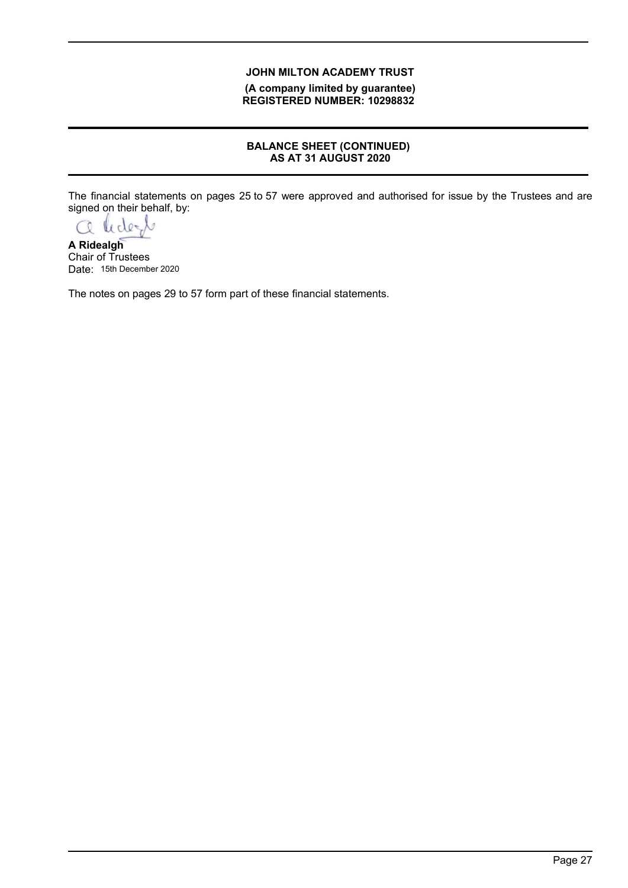**(A company limited by guarantee) REGISTERED NUMBER: 10298832**

## **BALANCE SHEET (CONTINUED) AS AT 31 AUGUST 2020**

The financial statements on pages 25 to 57 were approved and authorised for issue by the Trustees and are signed on their behalf, by:

a lidert

**A Ridealgh** Chair of Trustees Date: 15th December 2020

The notes on pages 29 to 57 form part of these financial statements.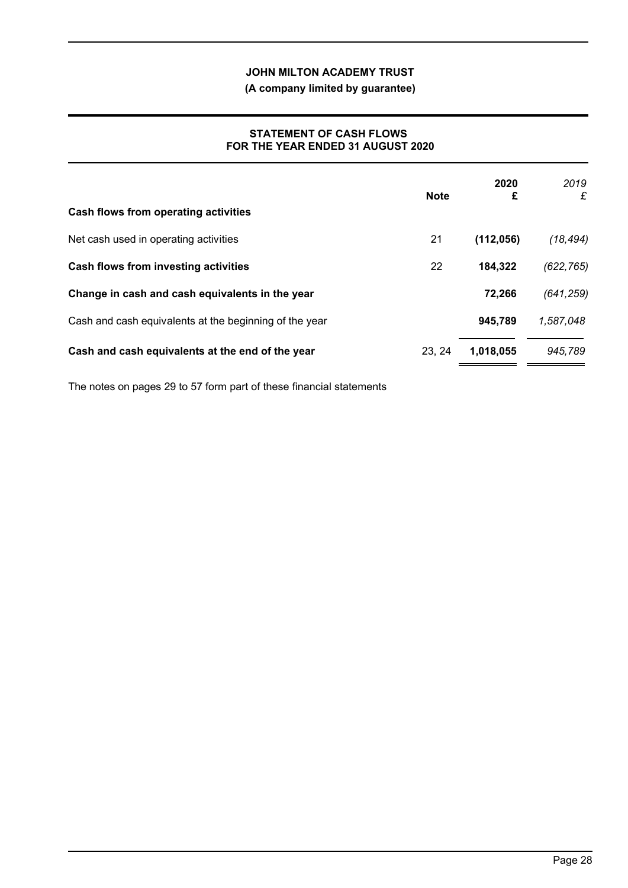**(A company limited by guarantee)**

### **STATEMENT OF CASH FLOWS FOR THE YEAR ENDED 31 AUGUST 2020**

| Cash flows from operating activities                   | <b>Note</b> | 2020<br>£  | 2019<br>£  |
|--------------------------------------------------------|-------------|------------|------------|
| Net cash used in operating activities                  | 21          | (112, 056) | (18, 494)  |
| Cash flows from investing activities                   | 22          | 184,322    | (622, 765) |
| Change in cash and cash equivalents in the year        |             | 72,266     | (641, 259) |
| Cash and cash equivalents at the beginning of the year |             | 945,789    | 1,587,048  |
| Cash and cash equivalents at the end of the year       | 23, 24      | 1,018,055  | 945,789    |

The notes on pages 29 to 57 form part of these financial statements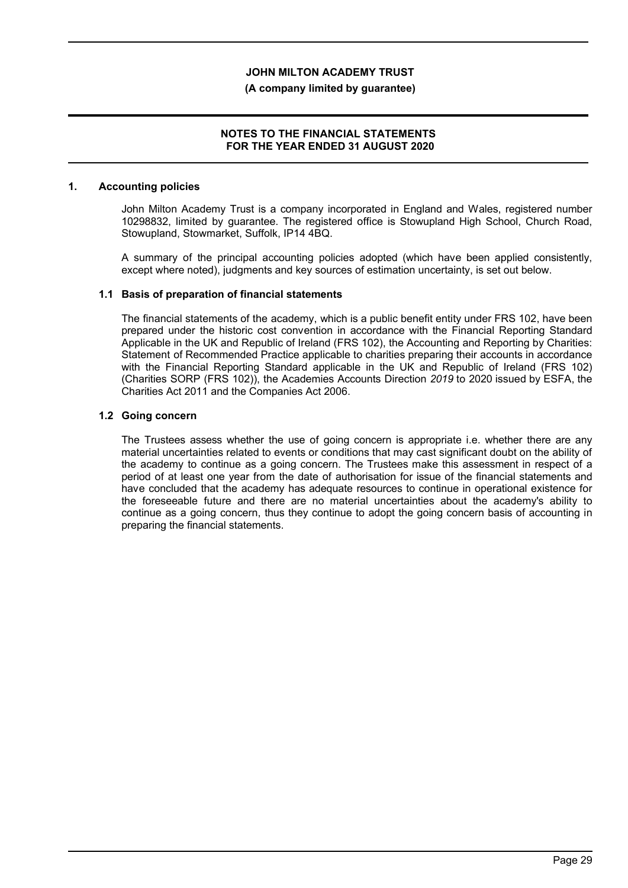#### **(A company limited by guarantee)**

### **NOTES TO THE FINANCIAL STATEMENTS FOR THE YEAR ENDED 31 AUGUST 2020**

#### **1. Accounting policies**

John Milton Academy Trust is a company incorporated in England and Wales, registered number 10298832, limited by guarantee. The registered office is Stowupland High School, Church Road, Stowupland, Stowmarket, Suffolk, IP14 4BQ.

A summary of the principal accounting policies adopted (which have been applied consistently, except where noted), judgments and key sources of estimation uncertainty, is set out below.

### **1.1 Basis of preparation of financial statements**

The financial statements of the academy, which is a public benefit entity under FRS 102, have been prepared under the historic cost convention in accordance with the Financial Reporting Standard Applicable in the UK and Republic of Ireland (FRS 102), the Accounting and Reporting by Charities: Statement of Recommended Practice applicable to charities preparing their accounts in accordance with the Financial Reporting Standard applicable in the UK and Republic of Ireland (FRS 102) (Charities SORP (FRS 102)), the Academies Accounts Direction *2019* to 2020 issued by ESFA, the Charities Act 2011 and the Companies Act 2006.

#### **1.2 Going concern**

The Trustees assess whether the use of going concern is appropriate i.e. whether there are any material uncertainties related to events or conditions that may cast significant doubt on the ability of the academy to continue as a going concern. The Trustees make this assessment in respect of a period of at least one year from the date of authorisation for issue of the financial statements and have concluded that the academy has adequate resources to continue in operational existence for the foreseeable future and there are no material uncertainties about the academy's ability to continue as a going concern, thus they continue to adopt the going concern basis of accounting in preparing the financial statements.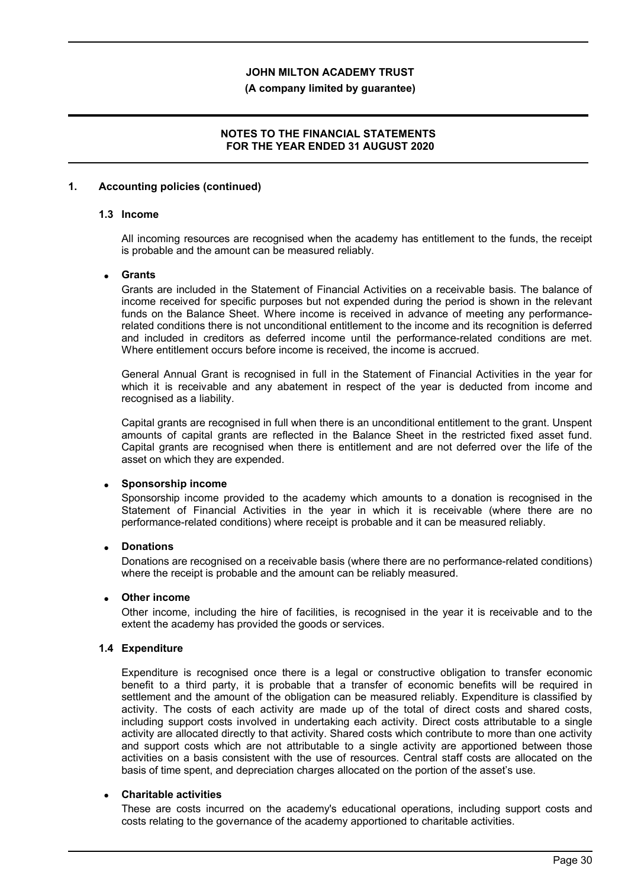#### **(A company limited by guarantee)**

### **NOTES TO THE FINANCIAL STATEMENTS FOR THE YEAR ENDED 31 AUGUST 2020**

#### **1. Accounting policies (continued)**

### **1.3 Income**

All incoming resources are recognised when the academy has entitlement to the funds, the receipt is probable and the amount can be measured reliably.

#### **Grants**

Grants are included in the Statement of Financial Activities on a receivable basis. The balance of income received for specific purposes but not expended during the period is shown in the relevant funds on the Balance Sheet. Where income is received in advance of meeting any performancerelated conditions there is not unconditional entitlement to the income and its recognition is deferred and included in creditors as deferred income until the performance-related conditions are met. Where entitlement occurs before income is received, the income is accrued.

General Annual Grant is recognised in full in the Statement of Financial Activities in the year for which it is receivable and any abatement in respect of the year is deducted from income and recognised as a liability.

Capital grants are recognised in full when there is an unconditional entitlement to the grant. Unspent amounts of capital grants are reflected in the Balance Sheet in the restricted fixed asset fund. Capital grants are recognised when there is entitlement and are not deferred over the life of the asset on which they are expended.

### **Sponsorship income**

Sponsorship income provided to the academy which amounts to a donation is recognised in the Statement of Financial Activities in the year in which it is receivable (where there are no performance-related conditions) where receipt is probable and it can be measured reliably.

### **Donations**

Donations are recognised on a receivable basis (where there are no performance-related conditions) where the receipt is probable and the amount can be reliably measured.

#### **Other income**

Other income, including the hire of facilities, is recognised in the year it is receivable and to the extent the academy has provided the goods or services.

#### **1.4 Expenditure**

Expenditure is recognised once there is a legal or constructive obligation to transfer economic benefit to a third party, it is probable that a transfer of economic benefits will be required in settlement and the amount of the obligation can be measured reliably. Expenditure is classified by activity. The costs of each activity are made up of the total of direct costs and shared costs, including support costs involved in undertaking each activity. Direct costs attributable to a single activity are allocated directly to that activity. Shared costs which contribute to more than one activity and support costs which are not attributable to a single activity are apportioned between those activities on a basis consistent with the use of resources. Central staff costs are allocated on the basis of time spent, and depreciation charges allocated on the portion of the asset's use.

## **Charitable activities**

These are costs incurred on the academy's educational operations, including support costs and costs relating to the governance of the academy apportioned to charitable activities.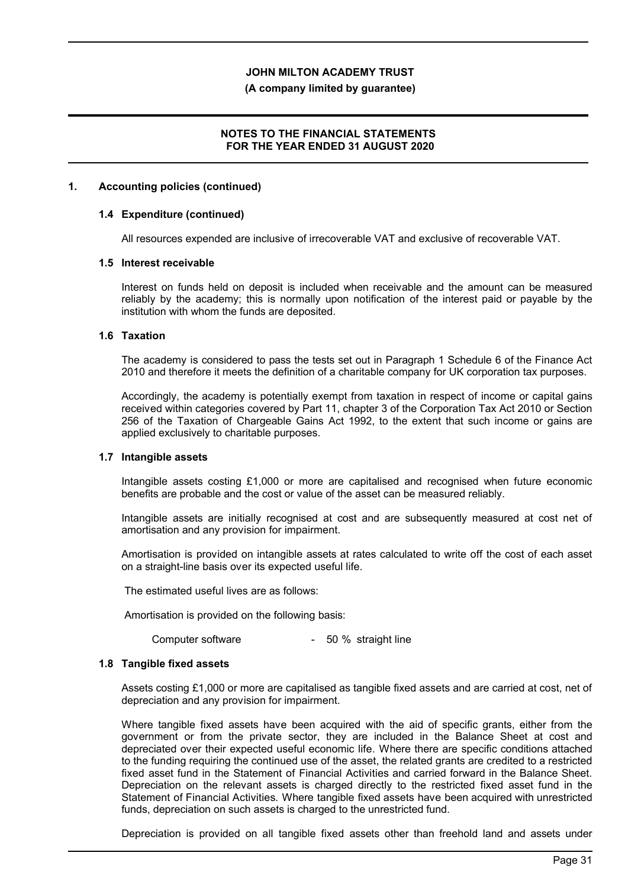#### **(A company limited by guarantee)**

### **NOTES TO THE FINANCIAL STATEMENTS FOR THE YEAR ENDED 31 AUGUST 2020**

#### **1. Accounting policies (continued)**

#### **1.4 Expenditure (continued)**

All resources expended are inclusive of irrecoverable VAT and exclusive of recoverable VAT.

#### **1.5 Interest receivable**

Interest on funds held on deposit is included when receivable and the amount can be measured reliably by the academy; this is normally upon notification of the interest paid or payable by the institution with whom the funds are deposited.

#### **1.6 Taxation**

The academy is considered to pass the tests set out in Paragraph 1 Schedule 6 of the Finance Act 2010 and therefore it meets the definition of a charitable company for UK corporation tax purposes.

Accordingly, the academy is potentially exempt from taxation in respect of income or capital gains received within categories covered by Part 11, chapter 3 of the Corporation Tax Act 2010 or Section 256 of the Taxation of Chargeable Gains Act 1992, to the extent that such income or gains are applied exclusively to charitable purposes.

### **1.7 Intangible assets**

Intangible assets costing £1,000 or more are capitalised and recognised when future economic benefits are probable and the cost or value of the asset can be measured reliably.

Intangible assets are initially recognised at cost and are subsequently measured at cost net of amortisation and any provision for impairment.

Amortisation is provided on intangible assets at rates calculated to write off the cost of each asset on a straight-line basis over its expected useful life.

The estimated useful lives are as follows:

Amortisation is provided on the following basis:

Computer software - 50 % straight line

### **1.8 Tangible fixed assets**

Assets costing £1,000 or more are capitalised as tangible fixed assets and are carried at cost, net of depreciation and any provision for impairment.

Where tangible fixed assets have been acquired with the aid of specific grants, either from the government or from the private sector, they are included in the Balance Sheet at cost and depreciated over their expected useful economic life. Where there are specific conditions attached to the funding requiring the continued use of the asset, the related grants are credited to a restricted fixed asset fund in the Statement of Financial Activities and carried forward in the Balance Sheet. Depreciation on the relevant assets is charged directly to the restricted fixed asset fund in the Statement of Financial Activities. Where tangible fixed assets have been acquired with unrestricted funds, depreciation on such assets is charged to the unrestricted fund.

Depreciation is provided on all tangible fixed assets other than freehold land and assets under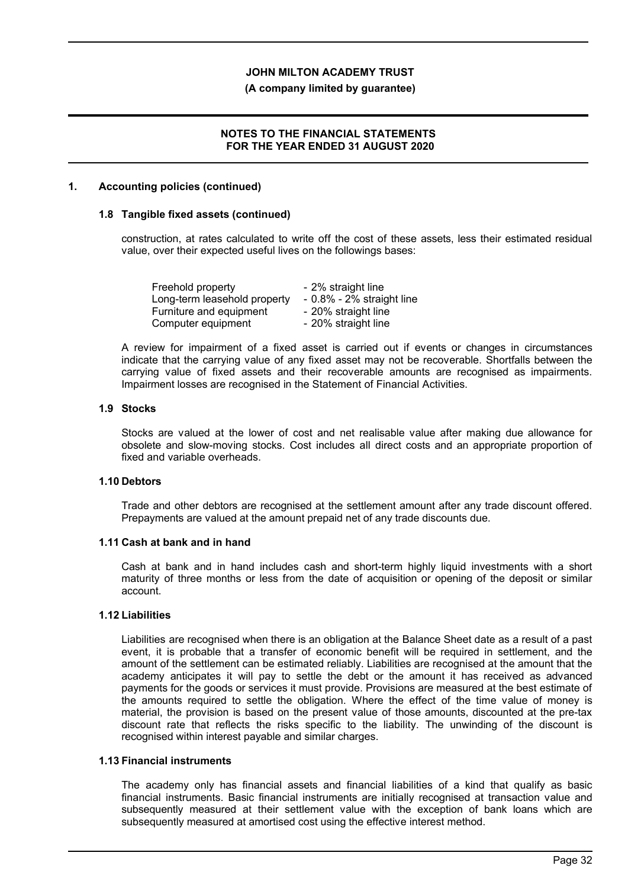#### **(A company limited by guarantee)**

### **NOTES TO THE FINANCIAL STATEMENTS FOR THE YEAR ENDED 31 AUGUST 2020**

#### **1. Accounting policies (continued)**

#### **1.8 Tangible fixed assets (continued)**

construction, at rates calculated to write off the cost of these assets, less their estimated residual value, over their expected useful lives on the followings bases:

| Freehold property            | - 2% straight line           |
|------------------------------|------------------------------|
| Long-term leasehold property | $-0.8\% - 2\%$ straight line |
| Furniture and equipment      | - 20% straight line          |
| Computer equipment           | - 20% straight line          |

A review for impairment of a fixed asset is carried out if events or changes in circumstances indicate that the carrying value of any fixed asset may not be recoverable. Shortfalls between the carrying value of fixed assets and their recoverable amounts are recognised as impairments. Impairment losses are recognised in the Statement of Financial Activities.

#### **1.9 Stocks**

Stocks are valued at the lower of cost and net realisable value after making due allowance for obsolete and slow-moving stocks. Cost includes all direct costs and an appropriate proportion of fixed and variable overheads.

### **1.10 Debtors**

Trade and other debtors are recognised at the settlement amount after any trade discount offered. Prepayments are valued at the amount prepaid net of any trade discounts due.

#### **1.11 Cash at bank and in hand**

Cash at bank and in hand includes cash and short-term highly liquid investments with a short maturity of three months or less from the date of acquisition or opening of the deposit or similar account.

#### **1.12 Liabilities**

Liabilities are recognised when there is an obligation at the Balance Sheet date as a result of a past event, it is probable that a transfer of economic benefit will be required in settlement, and the amount of the settlement can be estimated reliably. Liabilities are recognised at the amount that the academy anticipates it will pay to settle the debt or the amount it has received as advanced payments for the goods or services it must provide. Provisions are measured at the best estimate of the amounts required to settle the obligation. Where the effect of the time value of money is material, the provision is based on the present value of those amounts, discounted at the pre-tax discount rate that reflects the risks specific to the liability. The unwinding of the discount is recognised within interest payable and similar charges.

#### **1.13 Financial instruments**

The academy only has financial assets and financial liabilities of a kind that qualify as basic financial instruments. Basic financial instruments are initially recognised at transaction value and subsequently measured at their settlement value with the exception of bank loans which are subsequently measured at amortised cost using the effective interest method.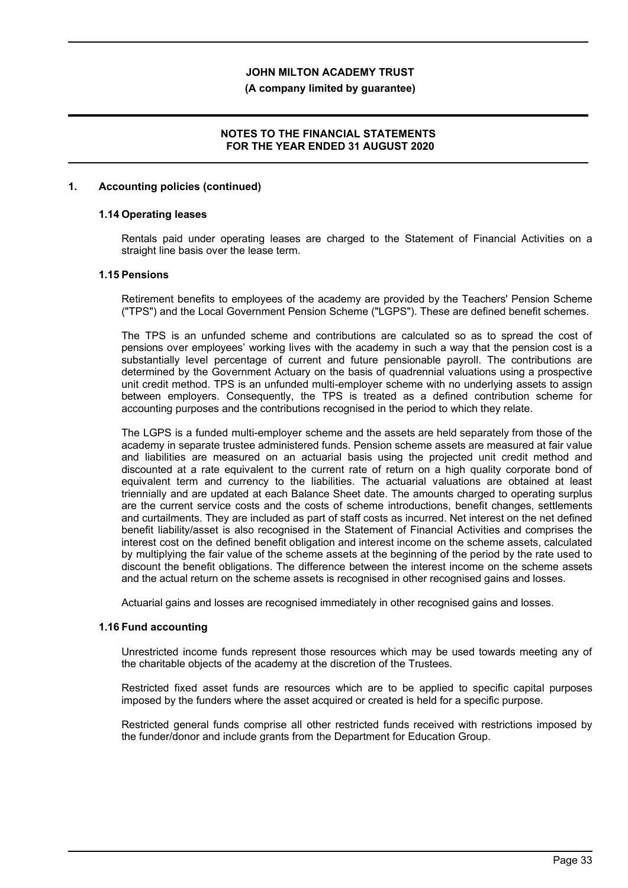#### **(A company limited by guarantee)**

### **NOTES TO THE FINANCIAL STATEMENTS FOR THE YEAR ENDED 31 AUGUST 2020**

#### **1. Accounting policies (continued)**

#### **1.14 Operating leases**

Rentals paid under operating leases are charged to the Statement of Financial Activities on a straight line basis over the lease term.

#### **1.15 Pensions**

Retirement benefits to employees of the academy are provided by the Teachers' Pension Scheme ("TPS") and the Local Government Pension Scheme ("LGPS"). These are defined benefit schemes.

The TPS is an unfunded scheme and contributions are calculated so as to spread the cost of pensions over employees' working lives with the academy in such a way that the pension cost is a substantially level percentage of current and future pensionable payroll. The contributions are determined by the Government Actuary on the basis of quadrennial valuations using a prospective unit credit method. TPS is an unfunded multi-employer scheme with no underlying assets to assign between employers. Consequently, the TPS is treated as a defined contribution scheme for accounting purposes and the contributions recognised in the period to which they relate.

The LGPS is a funded multi-employer scheme and the assets are held separately from those of the academy in separate trustee administered funds. Pension scheme assets are measured at fair value and liabilities are measured on an actuarial basis using the projected unit credit method and discounted at a rate equivalent to the current rate of return on a high quality corporate bond of equivalent term and currency to the liabilities. The actuarial valuations are obtained at least triennially and are updated at each Balance Sheet date. The amounts charged to operating surplus are the current service costs and the costs of scheme introductions, benefit changes, settlements and curtailments. They are included as part of staff costs as incurred. Net interest on the net defined benefit liability/asset is also recognised in the Statement of Financial Activities and comprises the interest cost on the defined benefit obligation and interest income on the scheme assets, calculated by multiplying the fair value of the scheme assets at the beginning of the period by the rate used to discount the benefit obligations. The difference between the interest income on the scheme assets and the actual return on the scheme assets is recognised in other recognised gains and losses.

Actuarial gains and losses are recognised immediately in other recognised gains and losses.

#### **1.16 Fund accounting**

Unrestricted income funds represent those resources which may be used towards meeting any of the charitable objects of the academy at the discretion of the Trustees.

Restricted fixed asset funds are resources which are to be applied to specific capital purposes imposed by the funders where the asset acquired or created is held for a specific purpose.

Restricted general funds comprise all other restricted funds received with restrictions imposed by the funder/donor and include grants from the Department for Education Group.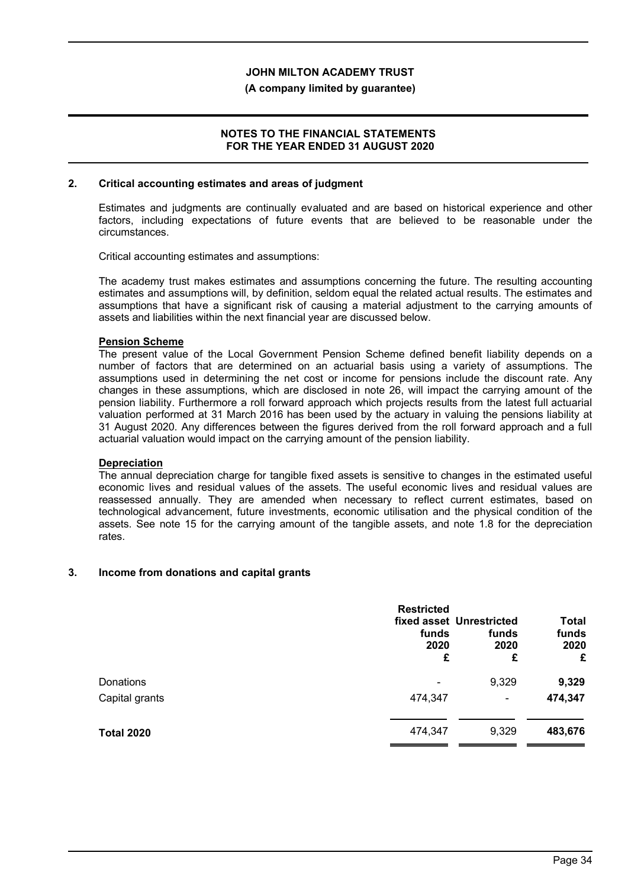#### **(A company limited by guarantee)**

### **NOTES TO THE FINANCIAL STATEMENTS FOR THE YEAR ENDED 31 AUGUST 2020**

#### **2. Critical accounting estimates and areas of judgment**

Estimates and judgments are continually evaluated and are based on historical experience and other factors, including expectations of future events that are believed to be reasonable under the circumstances.

Critical accounting estimates and assumptions:

The academy trust makes estimates and assumptions concerning the future. The resulting accounting estimates and assumptions will, by definition, seldom equal the related actual results. The estimates and assumptions that have a significant risk of causing a material adjustment to the carrying amounts of assets and liabilities within the next financial year are discussed below.

#### **Pension Scheme**

The present value of the Local Government Pension Scheme defined benefit liability depends on a number of factors that are determined on an actuarial basis using a variety of assumptions. The assumptions used in determining the net cost or income for pensions include the discount rate. Any changes in these assumptions, which are disclosed in note 26, will impact the carrying amount of the pension liability. Furthermore a roll forward approach which projects results from the latest full actuarial valuation performed at 31 March 2016 has been used by the actuary in valuing the pensions liability at 31 August 2020. Any differences between the figures derived from the roll forward approach and a full actuarial valuation would impact on the carrying amount of the pension liability.

### **Depreciation**

The annual depreciation charge for tangible fixed assets is sensitive to changes in the estimated useful economic lives and residual values of the assets. The useful economic lives and residual values are reassessed annually. They are amended when necessary to reflect current estimates, based on technological advancement, future investments, economic utilisation and the physical condition of the assets. See note 15 for the carrying amount of the tangible assets, and note 1.8 for the depreciation rates.

### **3. Income from donations and capital grants**

|                   | <b>Restricted</b><br>funds<br>2020<br>£ | fixed asset Unrestricted<br>funds<br>2020<br>£ | <b>Total</b><br>funds<br>2020<br>£ |
|-------------------|-----------------------------------------|------------------------------------------------|------------------------------------|
| Donations         |                                         | 9,329                                          | 9,329                              |
| Capital grants    | 474,347                                 | $\qquad \qquad \blacksquare$                   | 474,347                            |
| <b>Total 2020</b> | 474,347                                 | 9,329                                          | 483,676                            |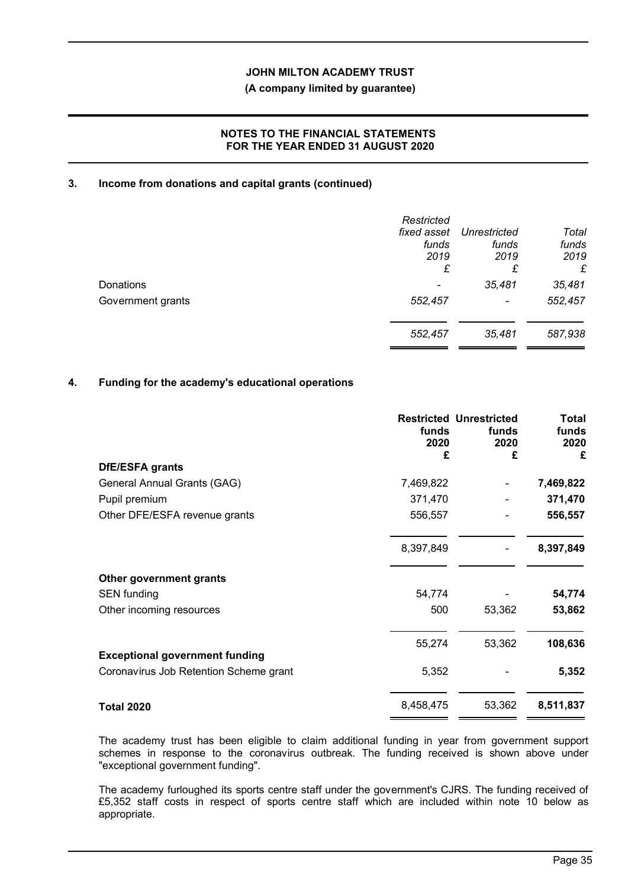### **(A company limited by guarantee)**

## **NOTES TO THE FINANCIAL STATEMENTS FOR THE YEAR ENDED 31 AUGUST 2020**

## **3. Income from donations and capital grants (continued)**

|                   | Restricted<br>fixed asset<br>funds<br>2019<br>£ | Unrestricted<br>funds<br>2019<br>£ | Total<br>funds<br>2019<br>£ |
|-------------------|-------------------------------------------------|------------------------------------|-----------------------------|
| Donations         | -                                               | 35,481                             | 35,481                      |
| Government grants | 552,457                                         | $\blacksquare$                     | 552,457                     |
|                   | 552,457                                         | 35,481                             | 587,938                     |

## **4. Funding for the academy's educational operations**

|                                                                                 | funds<br>2020<br>£ | <b>Restricted Unrestricted</b><br>funds<br>2020<br>£ | Total<br>funds<br>2020<br>£ |
|---------------------------------------------------------------------------------|--------------------|------------------------------------------------------|-----------------------------|
| DfE/ESFA grants                                                                 |                    |                                                      |                             |
| General Annual Grants (GAG)                                                     | 7,469,822          |                                                      | 7,469,822                   |
| Pupil premium                                                                   | 371,470            |                                                      | 371,470                     |
| Other DFE/ESFA revenue grants                                                   | 556,557            |                                                      | 556,557                     |
|                                                                                 | 8,397,849          |                                                      | 8,397,849                   |
| Other government grants                                                         |                    |                                                      |                             |
| <b>SEN</b> funding                                                              | 54,774             |                                                      | 54,774                      |
| Other incoming resources                                                        | 500                | 53,362                                               | 53,862                      |
|                                                                                 | 55,274             | 53,362                                               | 108,636                     |
| <b>Exceptional government funding</b><br>Coronavirus Job Retention Scheme grant | 5,352              |                                                      | 5,352                       |
| <b>Total 2020</b>                                                               | 8,458,475          | 53,362                                               | 8,511,837                   |

The academy trust has been eligible to claim additional funding in year from government support schemes in response to the coronavirus outbreak. The funding received is shown above under "exceptional government funding".

The academy furloughed its sports centre staff under the government's CJRS. The funding received of £5,352 staff costs in respect of sports centre staff which are included within note 10 below as appropriate.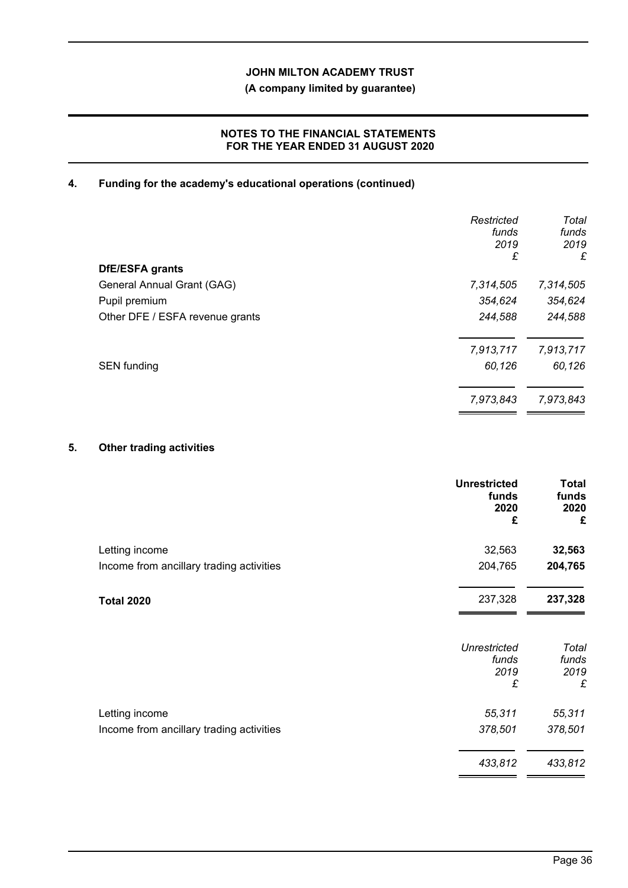## **(A company limited by guarantee)**

## **NOTES TO THE FINANCIAL STATEMENTS FOR THE YEAR ENDED 31 AUGUST 2020**

## **4. Funding for the academy's educational operations (continued)**

|                                 | Restricted<br>funds<br>2019<br>£ | Total<br>funds<br>2019<br>£ |
|---------------------------------|----------------------------------|-----------------------------|
| DfE/ESFA grants                 |                                  |                             |
| General Annual Grant (GAG)      | 7,314,505                        | 7,314,505                   |
| Pupil premium                   | 354,624                          | 354,624                     |
| Other DFE / ESFA revenue grants | 244,588                          | 244,588                     |
|                                 | 7,913,717                        | 7,913,717                   |
| <b>SEN</b> funding              | 60,126                           | 60,126                      |
|                                 | 7,973,843                        | 7,973,843                   |

## **5. Other trading activities**

|                                          | <b>Unrestricted</b><br>funds<br>2020<br>£ | <b>Total</b><br>funds<br>2020<br>£ |
|------------------------------------------|-------------------------------------------|------------------------------------|
| Letting income                           | 32,563                                    | 32,563                             |
| Income from ancillary trading activities | 204,765                                   | 204,765                            |
| <b>Total 2020</b>                        | 237,328                                   | 237,328                            |
|                                          | <b>Unrestricted</b><br>funds              | Total<br>funds                     |
|                                          | 2019<br>£                                 | 2019<br>£                          |
| Letting income                           | 55,311                                    | 55,311                             |
| Income from ancillary trading activities | 378,501                                   | 378,501                            |
|                                          | 433,812                                   | 433,812                            |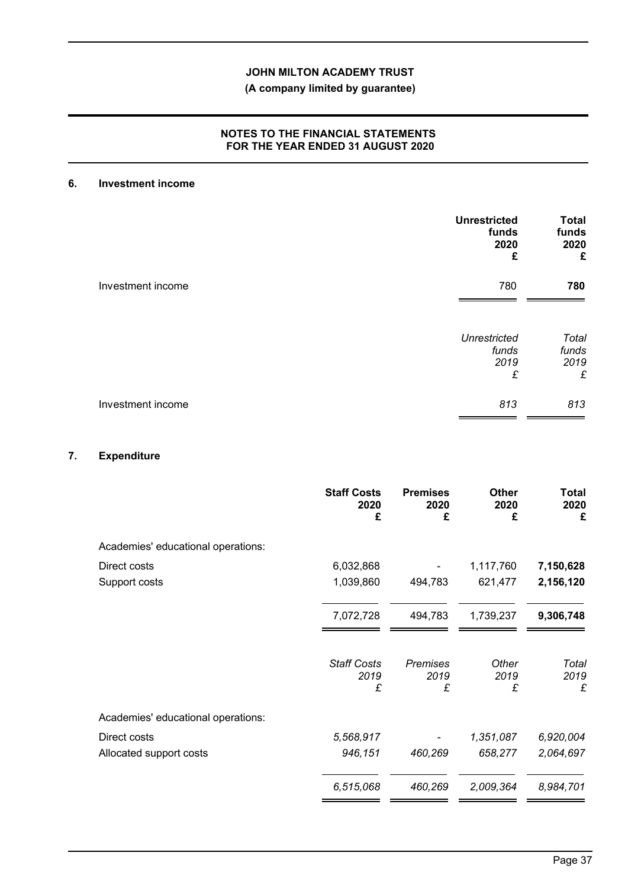## **(A company limited by guarantee)**

## **NOTES TO THE FINANCIAL STATEMENTS FOR THE YEAR ENDED 31 AUGUST 2020**

## **6. Investment income**

|                   | <b>Unrestricted</b><br>funds<br>2020<br>£ | <b>Total</b><br>funds<br>2020<br>£ |
|-------------------|-------------------------------------------|------------------------------------|
| Investment income | 780                                       | 780                                |
|                   | <b>Unrestricted</b><br>funds<br>2019<br>£ | Total<br>funds<br>2019<br>£        |
| Investment income | 813                                       | 813                                |

## **7. Expenditure**

|                                    | <b>Staff Costs</b><br>2020<br>£ | <b>Premises</b><br>2020<br>£ | <b>Other</b><br>2020<br>£ | <b>Total</b><br>2020<br>£ |
|------------------------------------|---------------------------------|------------------------------|---------------------------|---------------------------|
| Academies' educational operations: |                                 |                              |                           |                           |
| Direct costs                       | 6,032,868                       |                              | 1,117,760                 | 7,150,628                 |
| Support costs                      | 1,039,860                       | 494,783                      | 621,477                   | 2,156,120                 |
|                                    | 7,072,728                       | 494,783                      | 1,739,237                 | 9,306,748                 |
|                                    | <b>Staff Costs</b><br>2019<br>£ | <b>Premises</b><br>2019<br>£ | Other<br>2019<br>£        | Total<br>2019<br>£        |
| Academies' educational operations: |                                 |                              |                           |                           |
| Direct costs                       | 5,568,917                       |                              | 1,351,087                 | 6,920,004                 |
| Allocated support costs            | 946,151                         | 460,269                      | 658,277                   | 2,064,697                 |
|                                    | 6,515,068                       | 460,269                      | 2,009,364                 | 8,984,701                 |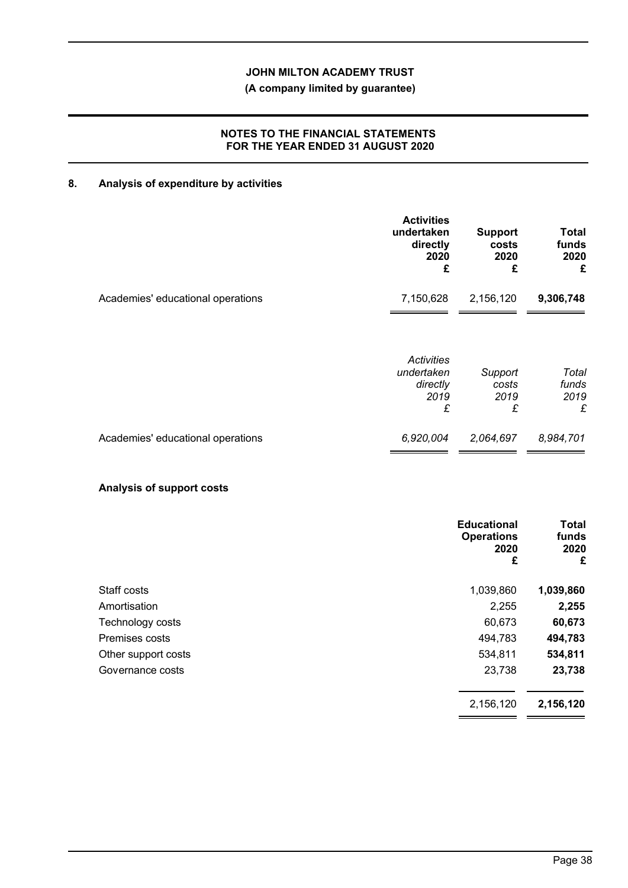## **(A company limited by guarantee)**

## **NOTES TO THE FINANCIAL STATEMENTS FOR THE YEAR ENDED 31 AUGUST 2020**

# **8. Analysis of expenditure by activities**

|                                   | <b>Activities</b><br>undertaken<br>directly<br>2020<br>£ | <b>Support</b><br>costs<br>2020<br>£ | Total<br>funds<br>2020<br>£ |
|-----------------------------------|----------------------------------------------------------|--------------------------------------|-----------------------------|
| Academies' educational operations | 7,150,628                                                | 2,156,120                            | 9,306,748                   |
|                                   | Activities<br>undertaken<br>directly<br>2019<br>£        | Support<br>costs<br>2019<br>£        | Total<br>funds<br>2019<br>£ |
| Academies' educational operations | 6,920,004                                                | 2,064,697                            | 8,984,701                   |

## **Analysis of support costs**

|                     | <b>Educational</b><br><b>Operations</b><br>2020<br>£ | <b>Total</b><br>funds<br>2020<br>£ |
|---------------------|------------------------------------------------------|------------------------------------|
| Staff costs         | 1,039,860                                            | 1,039,860                          |
| Amortisation        | 2,255                                                | 2,255                              |
| Technology costs    | 60,673                                               | 60,673                             |
| Premises costs      | 494,783                                              | 494,783                            |
| Other support costs | 534,811                                              | 534,811                            |
| Governance costs    | 23,738                                               | 23,738                             |
|                     | 2,156,120                                            | 2,156,120                          |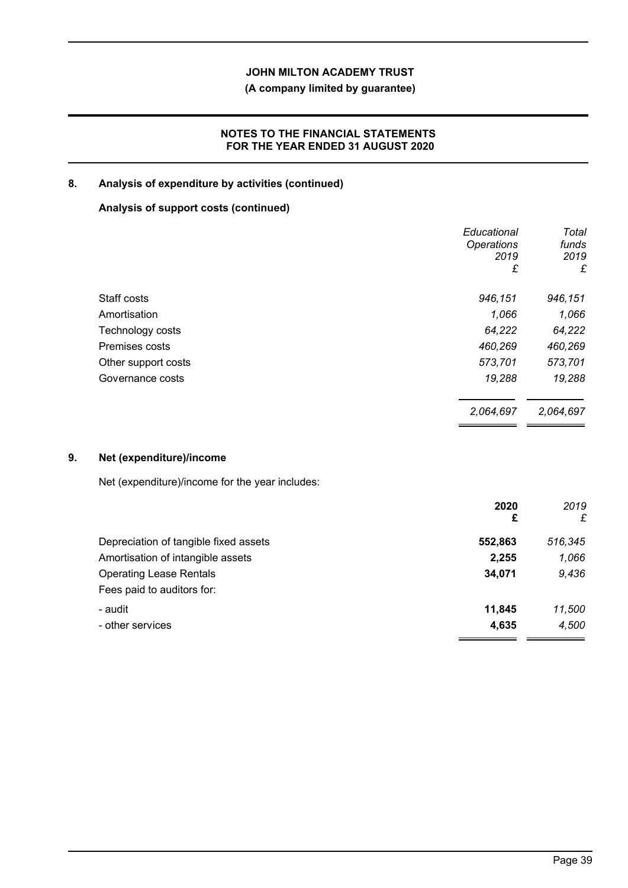## **(A company limited by guarantee)**

## **NOTES TO THE FINANCIAL STATEMENTS FOR THE YEAR ENDED 31 AUGUST 2020**

## **8. Analysis of expenditure by activities (continued)**

## **Analysis of support costs (continued)**

|                     | Educational       | Total     |
|---------------------|-------------------|-----------|
|                     | <b>Operations</b> | funds     |
|                     | 2019              | 2019      |
|                     | £                 | £         |
| Staff costs         | 946,151           | 946,151   |
| Amortisation        | 1,066             | 1,066     |
| Technology costs    | 64,222            | 64,222    |
| Premises costs      | 460,269           | 460,269   |
| Other support costs | 573,701           | 573,701   |
| Governance costs    | 19,288            | 19,288    |
|                     | 2,064,697         | 2,064,697 |

## **9. Net (expenditure)/income**

Net (expenditure)/income for the year includes:

|                                       | 2020<br>£ | 2019<br>£ |
|---------------------------------------|-----------|-----------|
| Depreciation of tangible fixed assets | 552,863   | 516,345   |
| Amortisation of intangible assets     | 2,255     | 1,066     |
| <b>Operating Lease Rentals</b>        | 34,071    | 9,436     |
| Fees paid to auditors for:            |           |           |
| - audit                               | 11,845    | 11,500    |
| - other services                      | 4,635     | 4,500     |
|                                       |           |           |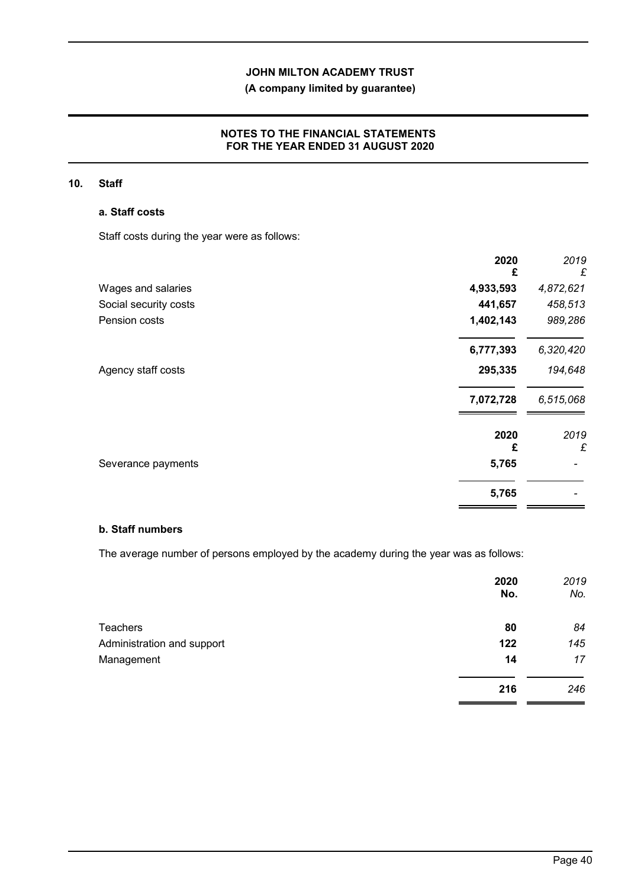## **(A company limited by guarantee)**

## **NOTES TO THE FINANCIAL STATEMENTS FOR THE YEAR ENDED 31 AUGUST 2020**

#### **10. Staff**

#### **a. Staff costs**

Staff costs during the year were as follows:

|                       | 2020<br>£ | 2019<br>£ |
|-----------------------|-----------|-----------|
| Wages and salaries    | 4,933,593 | 4,872,621 |
| Social security costs | 441,657   | 458,513   |
| Pension costs         | 1,402,143 | 989,286   |
|                       | 6,777,393 | 6,320,420 |
| Agency staff costs    | 295,335   | 194,648   |
|                       | 7,072,728 | 6,515,068 |
|                       | 2020<br>£ | 2019<br>£ |
| Severance payments    | 5,765     |           |
|                       | 5,765     |           |

## **b. Staff numbers**

The average number of persons employed by the academy during the year was as follows:

|                            | 2020<br>No. | 2019<br>No. |
|----------------------------|-------------|-------------|
| <b>Teachers</b>            | 80          | 84          |
| Administration and support | 122         | 145         |
| Management                 | 14          | 17          |
|                            | 216         | 246         |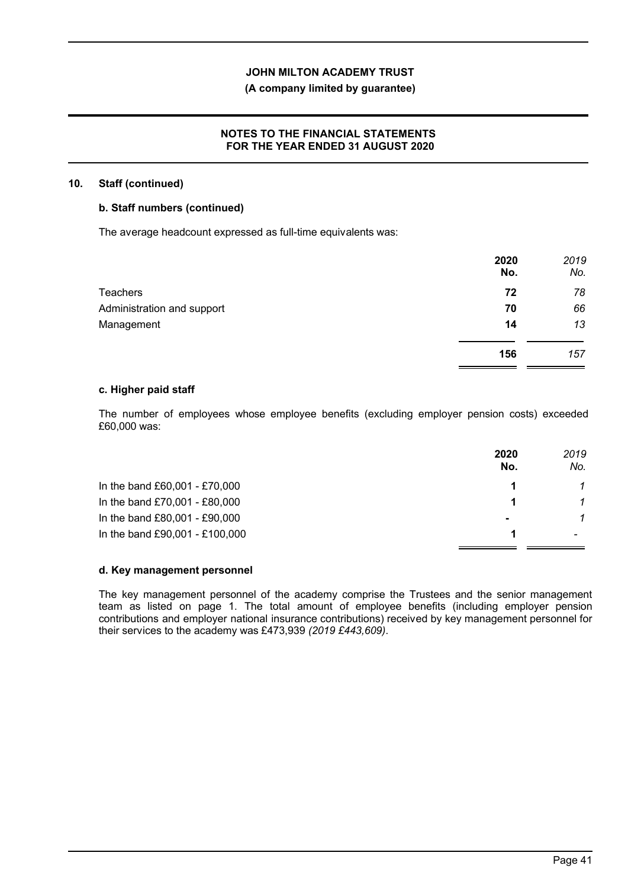## **(A company limited by guarantee)**

### **NOTES TO THE FINANCIAL STATEMENTS FOR THE YEAR ENDED 31 AUGUST 2020**

#### **10. Staff (continued)**

#### **b. Staff numbers (continued)**

The average headcount expressed as full-time equivalents was:

|                            | 2020<br>No. | 2019<br>No. |
|----------------------------|-------------|-------------|
| <b>Teachers</b>            | 72          | 78          |
| Administration and support | 70          | 66          |
| Management                 | 14          | 13          |
|                            | 156         | 157         |

#### **c. Higher paid staff**

The number of employees whose employee benefits (excluding employer pension costs) exceeded £60,000 was:

|                                | 2020<br>No.    | 2019<br>No. |
|--------------------------------|----------------|-------------|
| In the band £60,001 - £70,000  |                |             |
| In the band £70,001 - £80,000  |                |             |
| In the band £80,001 - £90,000  | $\blacksquare$ |             |
| In the band £90,001 - £100,000 |                |             |

### **d. Key management personnel**

The key management personnel of the academy comprise the Trustees and the senior management team as listed on page 1. The total amount of employee benefits (including employer pension contributions and employer national insurance contributions) received by key management personnel for their services to the academy was £473,939 *(2019 £443,609)*.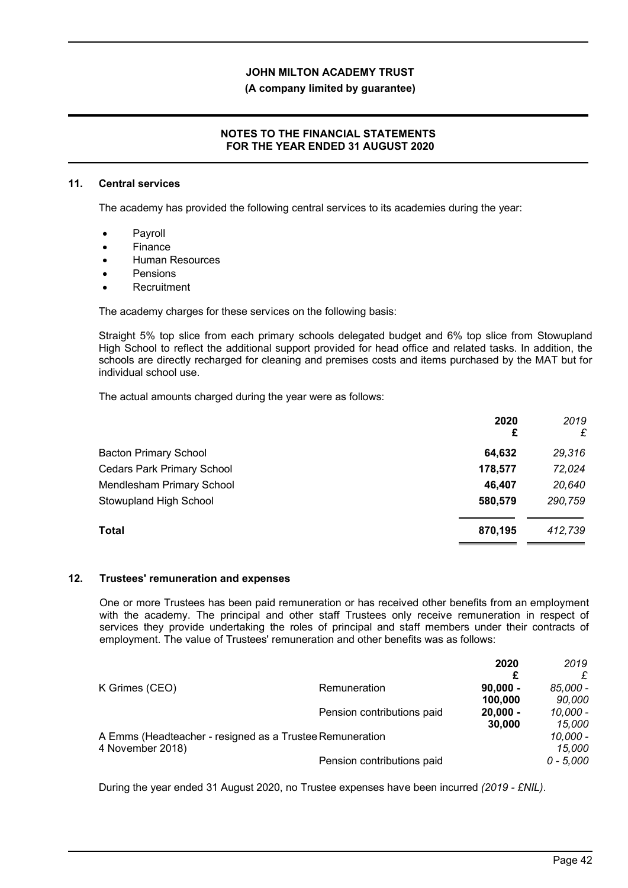#### **(A company limited by guarantee)**

### **NOTES TO THE FINANCIAL STATEMENTS FOR THE YEAR ENDED 31 AUGUST 2020**

#### **11. Central services**

The academy has provided the following central services to its academies during the year:

- Payroll
- Finance
- Human Resources
- Pensions
- **Recruitment**

The academy charges for these services on the following basis:

Straight 5% top slice from each primary schools delegated budget and 6% top slice from Stowupland High School to reflect the additional support provided for head office and related tasks. In addition, the schools are directly recharged for cleaning and premises costs and items purchased by the MAT but for individual school use.

The actual amounts charged during the year were as follows:

|                                   | 2020<br>£ | 2019<br>£ |
|-----------------------------------|-----------|-----------|
| <b>Bacton Primary School</b>      | 64,632    | 29,316    |
| <b>Cedars Park Primary School</b> | 178,577   | 72,024    |
| Mendlesham Primary School         | 46,407    | 20,640    |
| Stowupland High School            | 580,579   | 290,759   |
| <b>Total</b>                      | 870,195   | 412,739   |

#### **12. Trustees' remuneration and expenses**

One or more Trustees has been paid remuneration or has received other benefits from an employment with the academy. The principal and other staff Trustees only receive remuneration in respect of services they provide undertaking the roles of principal and staff members under their contracts of employment. The value of Trustees' remuneration and other benefits was as follows:

|                                                          |                            | 2020       | 2019        |
|----------------------------------------------------------|----------------------------|------------|-------------|
|                                                          |                            |            |             |
| K Grimes (CEO)                                           | Remuneration               | $90,000 -$ | 85,000 -    |
|                                                          |                            | 100,000    | 90,000      |
|                                                          | Pension contributions paid | $20,000 -$ | 10.000 -    |
|                                                          |                            | 30,000     | 15,000      |
| A Emms (Headteacher - resigned as a Trustee Remuneration |                            |            | 10,000 -    |
| 4 November 2018)                                         |                            |            | 15,000      |
|                                                          | Pension contributions paid |            | $0 - 5.000$ |

During the year ended 31 August 2020, no Trustee expenses have been incurred *(2019 - £NIL)*.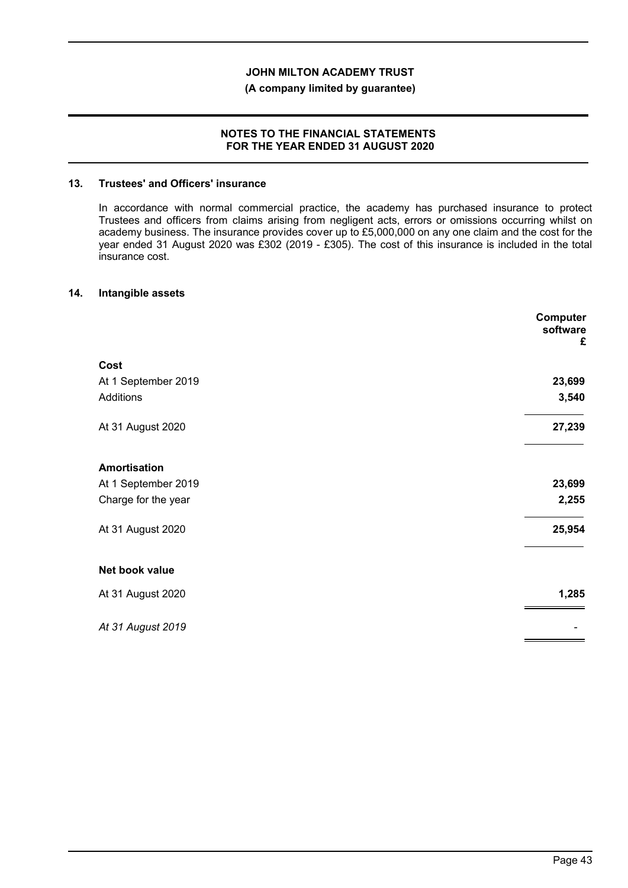### **(A company limited by guarantee)**

#### **NOTES TO THE FINANCIAL STATEMENTS FOR THE YEAR ENDED 31 AUGUST 2020**

#### **13. Trustees' and Officers' insurance**

In accordance with normal commercial practice, the academy has purchased insurance to protect Trustees and officers from claims arising from negligent acts, errors or omissions occurring whilst on academy business. The insurance provides cover up to £5,000,000 on any one claim and the cost for the year ended 31 August 2020 was £302 (2019 - £305). The cost of this insurance is included in the total insurance cost.

#### **14. Intangible assets**

|                     | Computer<br>software<br>£ |
|---------------------|---------------------------|
| Cost                |                           |
| At 1 September 2019 | 23,699                    |
| Additions           | 3,540                     |
| At 31 August 2020   | 27,239                    |
| <b>Amortisation</b> |                           |
| At 1 September 2019 | 23,699                    |
| Charge for the year | 2,255                     |
| At 31 August 2020   | 25,954                    |
| Net book value      |                           |
| At 31 August 2020   | 1,285                     |
| At 31 August 2019   |                           |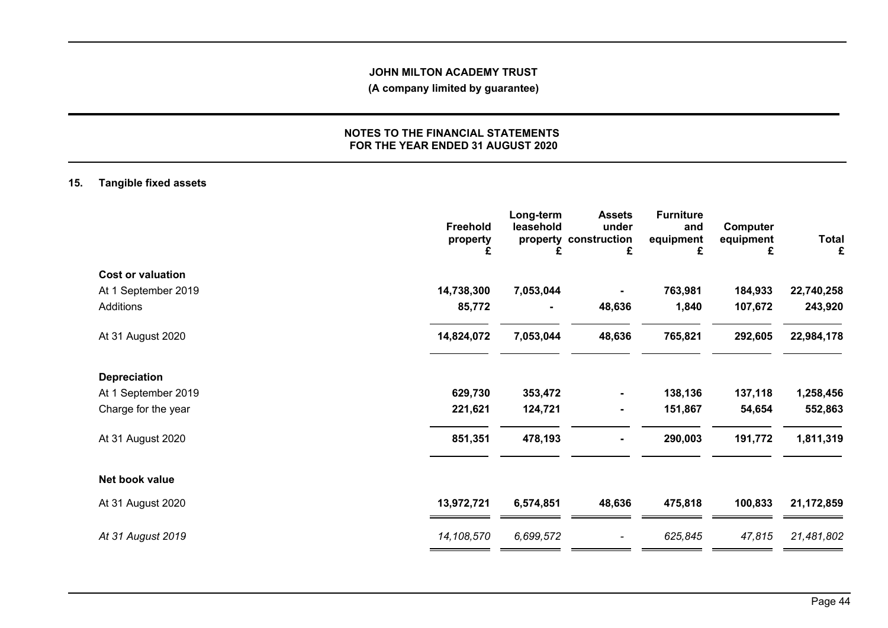## **(A company limited by guarantee)**

### **NOTES TO THE FINANCIAL STATEMENTS FOR THE YEAR ENDED 31 AUGUST 2020**

## **15. Tangible fixed assets**

|                          | Freehold<br>property<br>£ | Long-term<br>leasehold<br>£ | <b>Assets</b><br>under<br>property construction<br>£ | <b>Furniture</b><br>and<br>equipment<br>£ | Computer<br>equipment<br>£ | <b>Total</b><br>£ |
|--------------------------|---------------------------|-----------------------------|------------------------------------------------------|-------------------------------------------|----------------------------|-------------------|
| <b>Cost or valuation</b> |                           |                             |                                                      |                                           |                            |                   |
| At 1 September 2019      | 14,738,300                | 7,053,044                   |                                                      | 763,981                                   | 184,933                    | 22,740,258        |
| Additions                | 85,772                    | ۰                           | 48,636                                               | 1,840                                     | 107,672                    | 243,920           |
| At 31 August 2020        | 14,824,072                | 7,053,044                   | 48,636                                               | 765,821                                   | 292,605                    | 22,984,178        |
| <b>Depreciation</b>      |                           |                             |                                                      |                                           |                            |                   |
| At 1 September 2019      | 629,730                   | 353,472                     | ٠                                                    | 138,136                                   | 137,118                    | 1,258,456         |
| Charge for the year      | 221,621                   | 124,721                     | ۰                                                    | 151,867                                   | 54,654                     | 552,863           |
| At 31 August 2020        | 851,351                   | 478,193                     | $\overline{\phantom{a}}$                             | 290,003                                   | 191,772                    | 1,811,319         |
| Net book value           |                           |                             |                                                      |                                           |                            |                   |
| At 31 August 2020        | 13,972,721                | 6,574,851                   | 48,636                                               | 475,818                                   | 100,833                    | 21,172,859        |
| At 31 August 2019        | 14,108,570                | 6,699,572                   | $\overline{\phantom{a}}$                             | 625,845                                   | 47,815                     | 21,481,802        |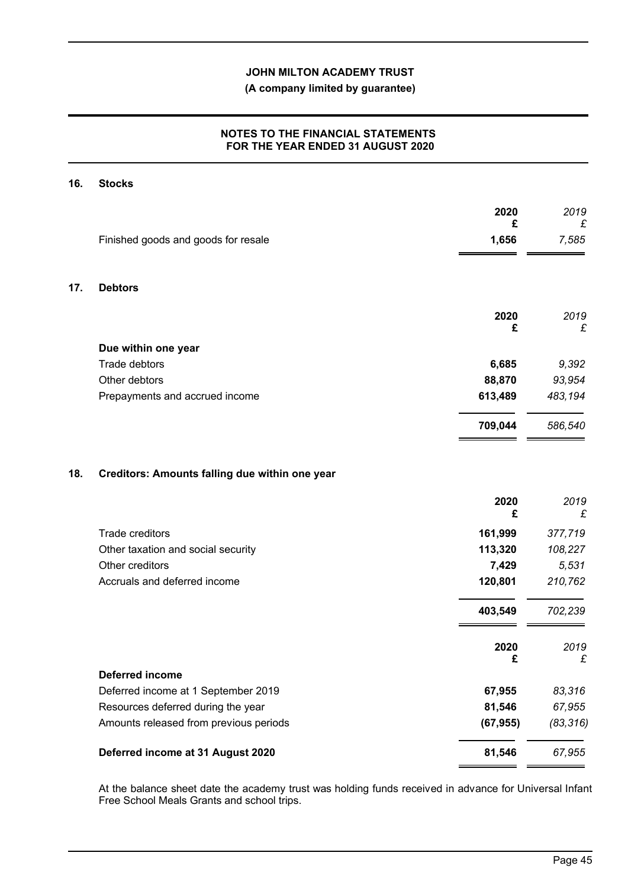## **(A company limited by guarantee)**

## **NOTES TO THE FINANCIAL STATEMENTS FOR THE YEAR ENDED 31 AUGUST 2020**

## **16. Stocks**

|     |                                                | 2020<br>£ | 2019       |
|-----|------------------------------------------------|-----------|------------|
|     | Finished goods and goods for resale            | 1,656     | £<br>7,585 |
| 17. | <b>Debtors</b>                                 |           |            |
|     |                                                | 2020      | 2019       |
|     |                                                | £         | £          |
|     | Due within one year                            |           |            |
|     | Trade debtors                                  | 6,685     | 9,392      |
|     | Other debtors                                  | 88,870    | 93,954     |
|     | Prepayments and accrued income                 | 613,489   | 483,194    |
|     |                                                | 709,044   | 586,540    |
| 18. | Creditors: Amounts falling due within one year |           |            |
|     |                                                | 2020<br>£ | 2019<br>£  |
|     | <b>Trade creditors</b>                         | 161,999   | 377,719    |
|     | Other taxation and social security             | 113,320   | 108,227    |
|     | Other creditors                                | 7,429     | 5,531      |
|     | Accruals and deferred income                   | 120,801   | 210,762    |
|     |                                                | 403,549   | 702,239    |
|     |                                                | 2020      | 2019       |
|     | <b>Deferred income</b>                         | £         | £          |
|     | Deferred income at 1 September 2019            | 67,955    | 83,316     |

| Deferred income at 31 August 2020 | 81.546 | 67.955 |
|-----------------------------------|--------|--------|
|                                   |        |        |

Resources deferred during the year **81,546** *67,955* Amounts released from previous periods **(67,955)** *(83,316)*

At the balance sheet date the academy trust was holding funds received in advance for Universal Infant Free School Meals Grants and school trips.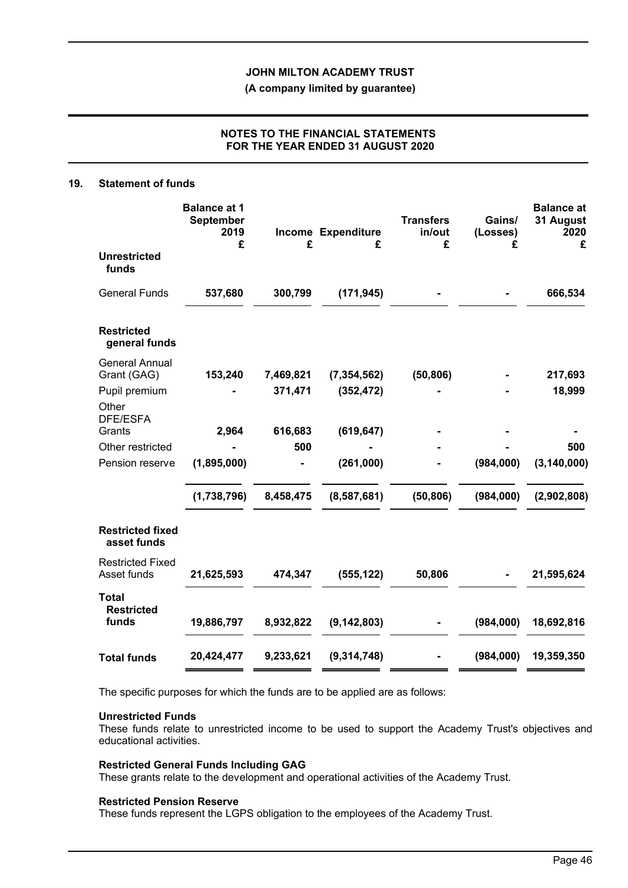**(A company limited by guarantee)**

## **NOTES TO THE FINANCIAL STATEMENTS FOR THE YEAR ENDED 31 AUGUST 2020**

#### **19. Statement of funds**

|                                        | <b>Balance at 1</b><br><b>September</b><br>2019<br>£ | £         | <b>Income Expenditure</b><br>£ | <b>Transfers</b><br>in/out<br>£ | Gains/<br>(Losses)<br>£ | <b>Balance at</b><br>31 August<br>2020<br>£ |
|----------------------------------------|------------------------------------------------------|-----------|--------------------------------|---------------------------------|-------------------------|---------------------------------------------|
| <b>Unrestricted</b><br>funds           |                                                      |           |                                |                                 |                         |                                             |
| <b>General Funds</b>                   | 537,680                                              | 300,799   | (171, 945)                     |                                 |                         | 666,534                                     |
| <b>Restricted</b><br>general funds     |                                                      |           |                                |                                 |                         |                                             |
| <b>General Annual</b><br>Grant (GAG)   | 153,240                                              | 7,469,821 | (7, 354, 562)                  | (50, 806)                       |                         | 217,693                                     |
| Pupil premium                          |                                                      | 371,471   | (352, 472)                     |                                 |                         | 18,999                                      |
| Other<br><b>DFE/ESFA</b>               |                                                      |           |                                |                                 |                         |                                             |
| Grants                                 | 2,964                                                | 616,683   | (619, 647)                     |                                 |                         |                                             |
| Other restricted                       |                                                      | 500       |                                |                                 |                         | 500                                         |
| Pension reserve                        | (1,895,000)                                          |           | (261,000)                      |                                 | (984,000)               | (3, 140, 000)                               |
|                                        | (1,738,796)                                          | 8,458,475 | (8,587,681)                    | (50, 806)                       | (984,000)               | (2,902,808)                                 |
| <b>Restricted fixed</b><br>asset funds |                                                      |           |                                |                                 |                         |                                             |
| <b>Restricted Fixed</b><br>Asset funds | 21,625,593                                           | 474,347   | (555, 122)                     | 50,806                          |                         | 21,595,624                                  |
| <b>Total</b><br><b>Restricted</b>      |                                                      |           |                                |                                 |                         |                                             |
| funds                                  | 19,886,797                                           | 8,932,822 | (9, 142, 803)                  |                                 | (984,000)               | 18,692,816                                  |
| <b>Total funds</b>                     | 20,424,477                                           | 9,233,621 | (9,314,748)                    |                                 | (984,000)               | 19,359,350                                  |

The specific purposes for which the funds are to be applied are as follows:

#### **Unrestricted Funds**

These funds relate to unrestricted income to be used to support the Academy Trust's objectives and educational activities.

#### **Restricted General Funds Including GAG**

These grants relate to the development and operational activities of the Academy Trust.

#### **Restricted Pension Reserve**

These funds represent the LGPS obligation to the employees of the Academy Trust.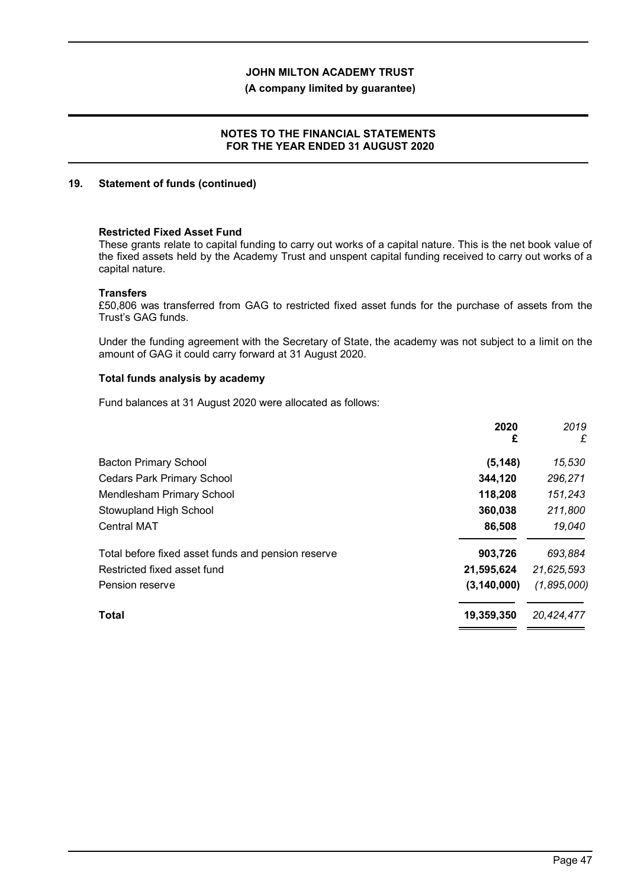### **(A company limited by guarantee)**

### **NOTES TO THE FINANCIAL STATEMENTS FOR THE YEAR ENDED 31 AUGUST 2020**

#### **19. Statement of funds (continued)**

#### **Restricted Fixed Asset Fund**

These grants relate to capital funding to carry out works of a capital nature. This is the net book value of the fixed assets held by the Academy Trust and unspent capital funding received to carry out works of a capital nature.

#### **Transfers**

£50,806 was transferred from GAG to restricted fixed asset funds for the purchase of assets from the Trust's GAG funds.

Under the funding agreement with the Secretary of State, the academy was not subject to a limit on the amount of GAG it could carry forward at 31 August 2020.

### **Total funds analysis by academy**

Fund balances at 31 August 2020 were allocated as follows:

|                                                    | 2020<br>£     | 2019<br>£   |
|----------------------------------------------------|---------------|-------------|
| <b>Bacton Primary School</b>                       | (5, 148)      | 15,530      |
| <b>Cedars Park Primary School</b>                  | 344,120       | 296,271     |
| Mendlesham Primary School                          | 118,208       | 151,243     |
| Stowupland High School                             | 360,038       | 211,800     |
| <b>Central MAT</b>                                 | 86,508        | 19,040      |
| Total before fixed asset funds and pension reserve | 903,726       | 693,884     |
| Restricted fixed asset fund                        | 21,595,624    | 21,625,593  |
| Pension reserve                                    | (3, 140, 000) | (1,895,000) |
| <b>Total</b>                                       | 19,359,350    | 20,424,477  |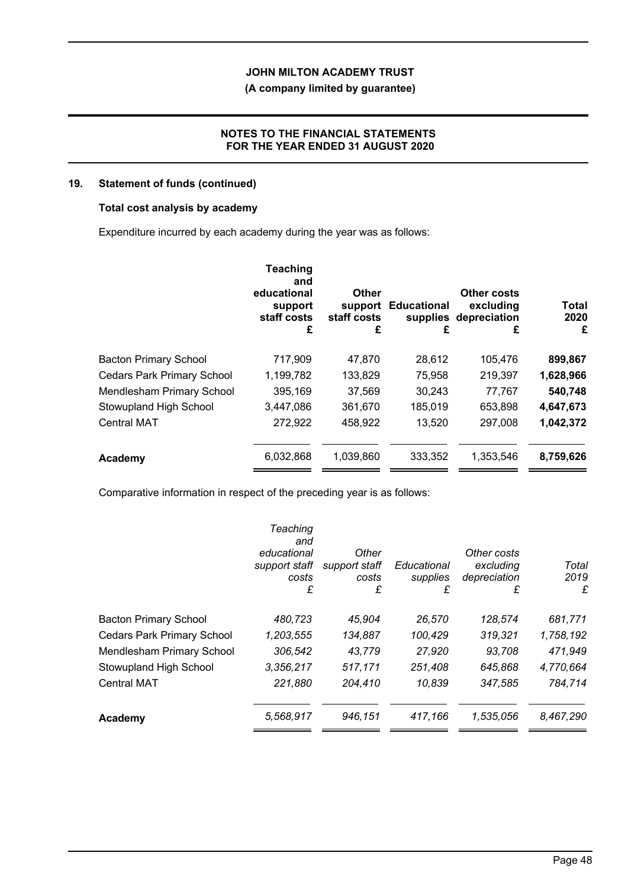## **(A company limited by guarantee)**

### **NOTES TO THE FINANCIAL STATEMENTS FOR THE YEAR ENDED 31 AUGUST 2020**

## **19. Statement of funds (continued)**

### **Total cost analysis by academy**

Expenditure incurred by each academy during the year was as follows:

|                                   | <b>Teaching</b><br>and<br>educational<br>support<br>staff costs<br>£ | <b>Other</b><br>support<br>staff costs<br>£ | <b>Educational</b><br>£ | Other costs<br>excluding<br>supplies depreciation<br>£ | <b>Total</b><br>2020<br>£ |
|-----------------------------------|----------------------------------------------------------------------|---------------------------------------------|-------------------------|--------------------------------------------------------|---------------------------|
| <b>Bacton Primary School</b>      | 717,909                                                              | 47,870                                      | 28,612                  | 105,476                                                | 899,867                   |
| <b>Cedars Park Primary School</b> | 1,199,782                                                            | 133,829                                     | 75,958                  | 219,397                                                | 1,628,966                 |
| Mendlesham Primary School         | 395,169                                                              | 37,569                                      | 30,243                  | 77,767                                                 | 540,748                   |
| Stowupland High School            | 3,447,086                                                            | 361,670                                     | 185,019                 | 653,898                                                | 4,647,673                 |
| <b>Central MAT</b>                | 272,922                                                              | 458,922                                     | 13,520                  | 297,008                                                | 1,042,372                 |
| Academy                           | 6,032,868                                                            | 1,039,860                                   | 333,352                 | 1,353,546                                              | 8,759,626                 |

Comparative information in respect of the preceding year is as follows:

|                                   | Teaching<br>and<br>educational<br>support staff<br>costs<br>£ | Other<br>support staff<br>costs<br>£ | Educational<br>supplies<br>£ | Other costs<br>excluding<br>depreciation<br>£ | Total<br>2019<br>£ |
|-----------------------------------|---------------------------------------------------------------|--------------------------------------|------------------------------|-----------------------------------------------|--------------------|
| <b>Bacton Primary School</b>      | 480,723                                                       | 45,904                               | 26,570                       | 128,574                                       | 681,771            |
| <b>Cedars Park Primary School</b> | 1,203,555                                                     | 134,887                              | 100,429                      | 319,321                                       | 1,758,192          |
| Mendlesham Primary School         | 306,542                                                       | 43,779                               | 27,920                       | 93,708                                        | 471,949            |
| Stowupland High School            | 3,356,217                                                     | 517,171                              | 251,408                      | 645,868                                       | 4,770,664          |
| <b>Central MAT</b>                | 221,880                                                       | 204,410                              | 10,839                       | 347,585                                       | 784,714            |
| Academy                           | 5,568,917                                                     | 946,151                              | 417,166                      | 1,535,056                                     | 8,467,290          |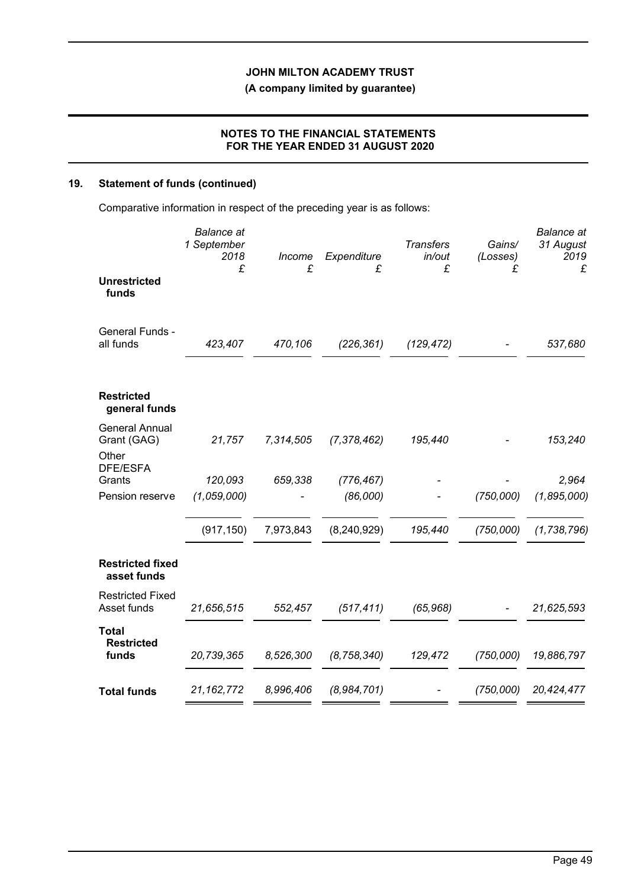**(A company limited by guarantee)**

## **NOTES TO THE FINANCIAL STATEMENTS FOR THE YEAR ENDED 31 AUGUST 2020**

# **19. Statement of funds (continued)**

Comparative information in respect of the preceding year is as follows:

|                                                           | <b>Balance</b> at<br>1 September<br>2018<br>£ | Income<br>£ | Expenditure<br>£ | <b>Transfers</b><br>in/out<br>£ | Gains/<br>(Losses)<br>£ | <b>Balance</b> at<br>31 August<br>2019<br>£ |
|-----------------------------------------------------------|-----------------------------------------------|-------------|------------------|---------------------------------|-------------------------|---------------------------------------------|
| <b>Unrestricted</b><br>funds                              |                                               |             |                  |                                 |                         |                                             |
| General Funds -<br>all funds                              | 423,407                                       | 470,106     | (226, 361)       | (129, 472)                      |                         | 537,680                                     |
| <b>Restricted</b><br>general funds                        |                                               |             |                  |                                 |                         |                                             |
| <b>General Annual</b><br>Grant (GAG)<br>Other<br>DFE/ESFA | 21,757                                        | 7,314,505   | (7, 378, 462)    | 195,440                         |                         | 153,240                                     |
| Grants                                                    | 120,093                                       | 659,338     | (776, 467)       |                                 |                         | 2,964                                       |
| Pension reserve                                           | (1,059,000)                                   |             | (86,000)         |                                 | (750,000)               | (1,895,000)                                 |
|                                                           | (917, 150)                                    | 7,973,843   | (8, 240, 929)    | 195,440                         | (750,000)               | (1, 738, 796)                               |
| <b>Restricted fixed</b><br>asset funds                    |                                               |             |                  |                                 |                         |                                             |
| <b>Restricted Fixed</b><br>Asset funds                    | 21,656,515                                    | 552,457     | (517, 411)       | (65, 968)                       |                         | 21,625,593                                  |
| <b>Total</b><br><b>Restricted</b><br>funds                | 20,739,365                                    | 8,526,300   | (8, 758, 340)    | 129,472                         | (750,000)               | 19,886,797                                  |
| <b>Total funds</b>                                        | 21, 162, 772                                  | 8,996,406   | (8,984,701)      |                                 | (750,000)               | 20,424,477                                  |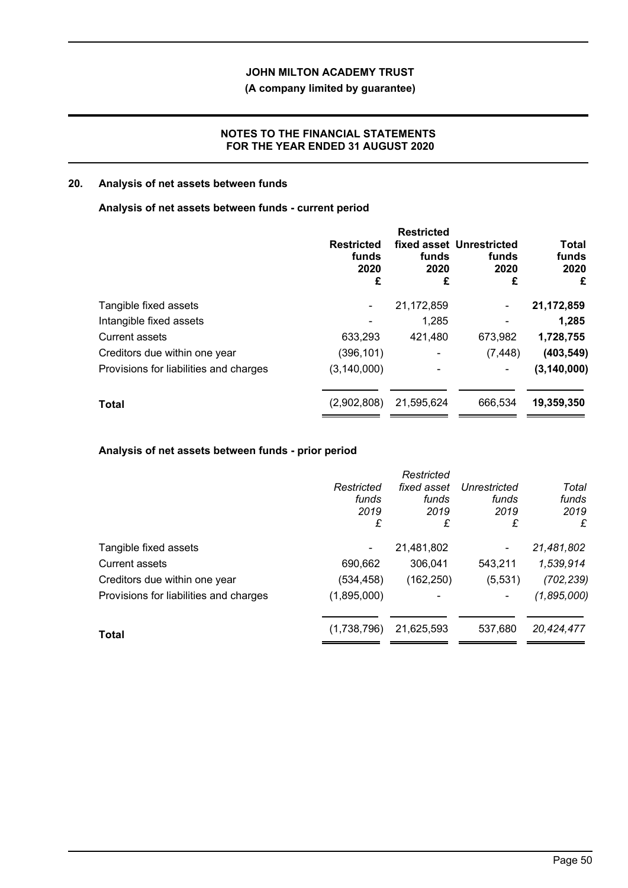## **(A company limited by guarantee)**

## **NOTES TO THE FINANCIAL STATEMENTS FOR THE YEAR ENDED 31 AUGUST 2020**

## **20. Analysis of net assets between funds**

#### **Analysis of net assets between funds - current period**

|                                        | <b>Restricted</b><br>funds<br>2020<br>£ | <b>Restricted</b><br>funds<br>2020<br>£ | fixed asset Unrestricted<br>funds<br>2020<br>£ | <b>Total</b><br>funds<br>2020<br>£ |
|----------------------------------------|-----------------------------------------|-----------------------------------------|------------------------------------------------|------------------------------------|
| Tangible fixed assets                  | -                                       | 21,172,859                              | ۰                                              | 21,172,859                         |
| Intangible fixed assets                |                                         | 1,285                                   |                                                | 1,285                              |
| <b>Current assets</b>                  | 633,293                                 | 421,480                                 | 673,982                                        | 1,728,755                          |
| Creditors due within one year          | (396, 101)                              |                                         | (7, 448)                                       | (403, 549)                         |
| Provisions for liabilities and charges | (3, 140, 000)                           |                                         | ۰                                              | (3, 140, 000)                      |
| <b>Total</b>                           | (2,902,808)                             | 21,595,624                              | 666,534                                        | 19,359,350                         |

## **Analysis of net assets between funds - prior period**

|                                        | Restricted<br>funds<br>2019<br>£ | Restricted<br>fixed asset<br>funds<br>2019<br>£ | Unrestricted<br>funds<br>2019<br>£ | Total<br>funds<br>2019<br>£ |
|----------------------------------------|----------------------------------|-------------------------------------------------|------------------------------------|-----------------------------|
| Tangible fixed assets                  |                                  | 21,481,802                                      | ۰                                  | 21,481,802                  |
| <b>Current assets</b>                  | 690,662                          | 306,041                                         | 543,211                            | 1,539,914                   |
| Creditors due within one year          | (534,458)                        | (162, 250)                                      | (5,531)                            | (702, 239)                  |
| Provisions for liabilities and charges | (1,895,000)                      |                                                 |                                    | (1,895,000)                 |
| <b>Total</b>                           | (1,738,796)                      | 21,625,593                                      | 537,680                            | 20,424,477                  |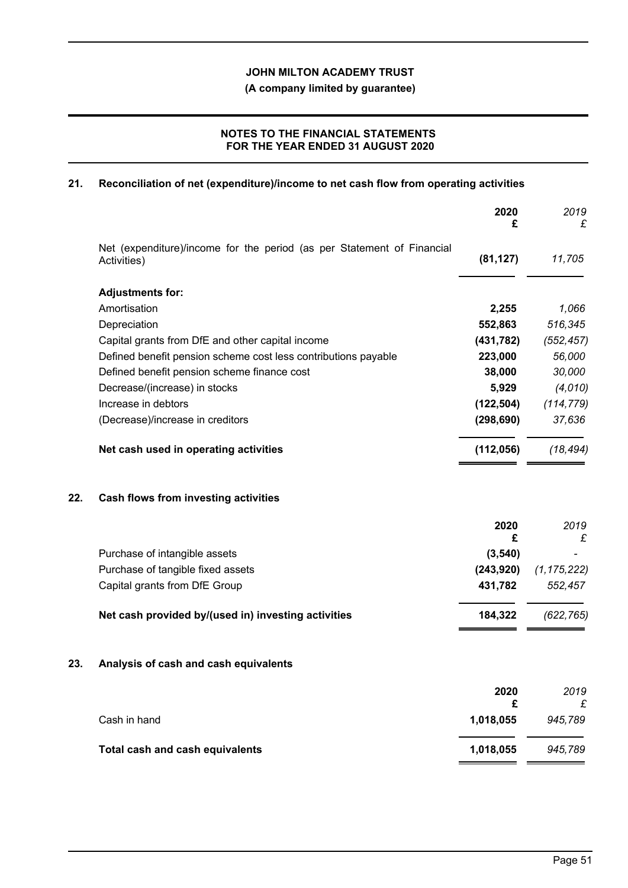**(A company limited by guarantee)**

## **NOTES TO THE FINANCIAL STATEMENTS FOR THE YEAR ENDED 31 AUGUST 2020**

## **21. Reconciliation of net (expenditure)/income to net cash flow from operating activities**

|     |                                                                                       | 2020<br>£      | 2019<br>£     |
|-----|---------------------------------------------------------------------------------------|----------------|---------------|
|     | Net (expenditure)/income for the period (as per Statement of Financial<br>Activities) | (81, 127)      | 11,705        |
|     | <b>Adjustments for:</b>                                                               |                |               |
|     | Amortisation                                                                          | 2,255          | 1,066         |
|     | Depreciation                                                                          | 552,863        | 516,345       |
|     | Capital grants from DfE and other capital income                                      | (431, 782)     | (552, 457)    |
|     | Defined benefit pension scheme cost less contributions payable                        | 223,000        | 56,000        |
|     | Defined benefit pension scheme finance cost                                           | 38,000         | 30,000        |
|     | Decrease/(increase) in stocks                                                         | 5,929          | (4,010)       |
|     | Increase in debtors                                                                   | (122, 504)     | (114, 779)    |
|     | (Decrease)/increase in creditors                                                      | (298, 690)     | 37,636        |
|     | Net cash used in operating activities                                                 | (112, 056)     | (18, 494)     |
| 22. | Cash flows from investing activities                                                  |                |               |
|     |                                                                                       | 2020<br>£      | 2019<br>£     |
|     | Purchase of intangible assets                                                         | (3,540)        |               |
|     | Purchase of tangible fixed assets                                                     | (243, 920)     | (1, 175, 222) |
|     | Capital grants from DfE Group                                                         | 431,782        | 552,457       |
|     | Net cash provided by/(used in) investing activities                                   | 184,322        | (622, 765)    |
| 23. | Analysis of cash and cash equivalents                                                 |                |               |
|     |                                                                                       | 2020           | 2019          |
|     | Cash in hand                                                                          | £<br>1,018,055 | £<br>945,789  |
|     | <b>Total cash and cash equivalents</b>                                                | 1,018,055      | 945,789       |
|     |                                                                                       |                |               |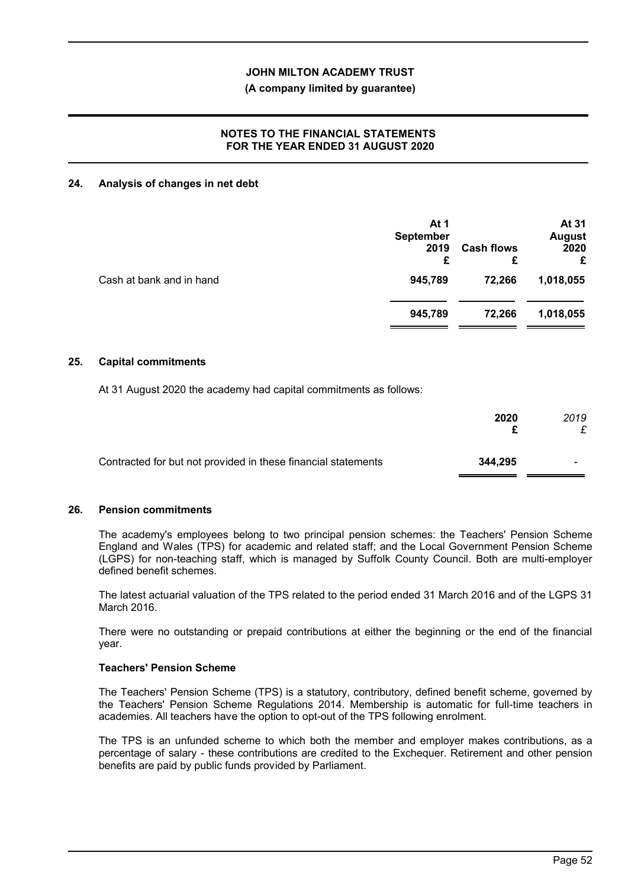#### **(A company limited by guarantee)**

## **NOTES TO THE FINANCIAL STATEMENTS FOR THE YEAR ENDED 31 AUGUST 2020**

#### **24. Analysis of changes in net debt**

|                          | At 1<br><b>September</b><br>2019<br>£ | <b>Cash flows</b><br>£ | At 31<br><b>August</b><br>2020<br>£ |
|--------------------------|---------------------------------------|------------------------|-------------------------------------|
| Cash at bank and in hand | 945,789                               | 72,266                 | 1,018,055                           |
|                          | 945,789                               | 72,266                 | 1,018,055                           |

#### **25. Capital commitments**

At 31 August 2020 the academy had capital commitments as follows:

|                                                               | 2020    | 2019 |
|---------------------------------------------------------------|---------|------|
| Contracted for but not provided in these financial statements | 344.295 |      |

#### **26. Pension commitments**

The academy's employees belong to two principal pension schemes: the Teachers' Pension Scheme England and Wales (TPS) for academic and related staff; and the Local Government Pension Scheme (LGPS) for non-teaching staff, which is managed by Suffolk County Council. Both are multi-employer defined benefit schemes.

The latest actuarial valuation of the TPS related to the period ended 31 March 2016 and of the LGPS 31 March 2016.

There were no outstanding or prepaid contributions at either the beginning or the end of the financial year.

### **Teachers' Pension Scheme**

The Teachers' Pension Scheme (TPS) is a statutory, contributory, defined benefit scheme, governed by the Teachers' Pension Scheme Regulations 2014. Membership is automatic for full-time teachers in academies. All teachers have the option to opt-out of the TPS following enrolment.

The TPS is an unfunded scheme to which both the member and employer makes contributions, as a percentage of salary - these contributions are credited to the Exchequer. Retirement and other pension benefits are paid by public funds provided by Parliament.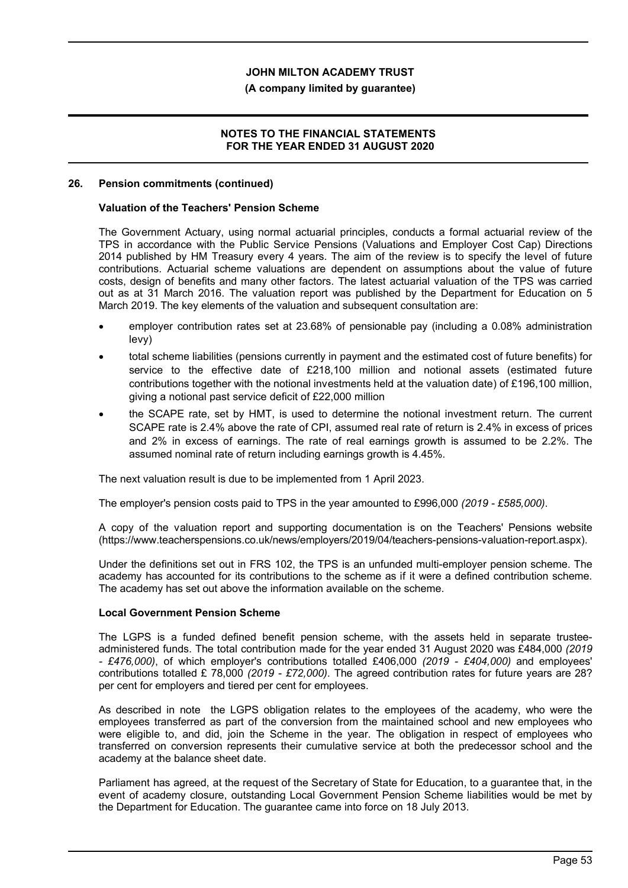#### **(A company limited by guarantee)**

### **NOTES TO THE FINANCIAL STATEMENTS FOR THE YEAR ENDED 31 AUGUST 2020**

#### **26. Pension commitments (continued)**

#### **Valuation of the Teachers' Pension Scheme**

The Government Actuary, using normal actuarial principles, conducts a formal actuarial review of the TPS in accordance with the Public Service Pensions (Valuations and Employer Cost Cap) Directions 2014 published by HM Treasury every 4 years. The aim of the review is to specify the level of future contributions. Actuarial scheme valuations are dependent on assumptions about the value of future costs, design of benefits and many other factors. The latest actuarial valuation of the TPS was carried out as at 31 March 2016. The valuation report was published by the Department for Education on 5 March 2019. The key elements of the valuation and subsequent consultation are:

- employer contribution rates set at 23.68% of pensionable pay (including a 0.08% administration levy)
- total scheme liabilities (pensions currently in payment and the estimated cost of future benefits) for service to the effective date of £218,100 million and notional assets (estimated future contributions together with the notional investments held at the valuation date) of £196,100 million, giving a notional past service deficit of £22,000 million
- the SCAPE rate, set by HMT, is used to determine the notional investment return. The current SCAPE rate is 2.4% above the rate of CPI, assumed real rate of return is 2.4% in excess of prices and 2% in excess of earnings. The rate of real earnings growth is assumed to be 2.2%. The assumed nominal rate of return including earnings growth is 4.45%.

The next valuation result is due to be implemented from 1 April 2023.

The employer's pension costs paid to TPS in the year amounted to £996,000 *(2019 - £585,000)*.

A copy of the valuation report and supporting documentation is on the Teachers' Pensions website (https://www.teacherspensions.co.uk/news/employers/2019/04/teachers-pensions-valuation-report.aspx).

Under the definitions set out in FRS 102, the TPS is an unfunded multi-employer pension scheme. The academy has accounted for its contributions to the scheme as if it were a defined contribution scheme. The academy has set out above the information available on the scheme.

#### **Local Government Pension Scheme**

The LGPS is a funded defined benefit pension scheme, with the assets held in separate trusteeadministered funds. The total contribution made for the year ended 31 August 2020 was £484,000 *(2019 - £476,000)*, of which employer's contributions totalled £406,000 *(2019 - £404,000)* and employees' contributions totalled £ 78,000 *(2019 - £72,000)*. The agreed contribution rates for future years are 28? per cent for employers and tiered per cent for employees.

As described in note the LGPS obligation relates to the employees of the academy, who were the employees transferred as part of the conversion from the maintained school and new employees who were eligible to, and did, join the Scheme in the year. The obligation in respect of employees who transferred on conversion represents their cumulative service at both the predecessor school and the academy at the balance sheet date.

Parliament has agreed, at the request of the Secretary of State for Education, to a guarantee that, in the event of academy closure, outstanding Local Government Pension Scheme liabilities would be met by the Department for Education. The guarantee came into force on 18 July 2013.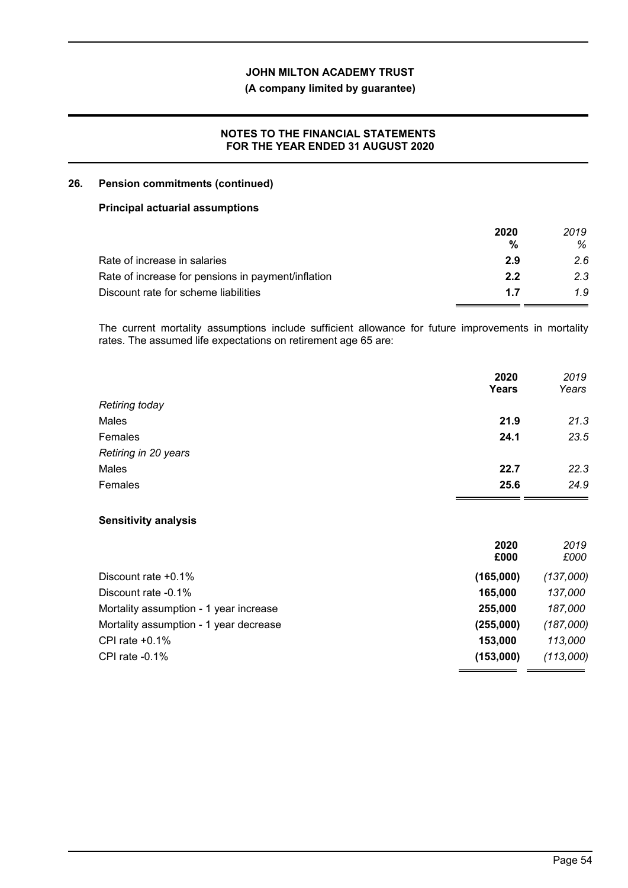## **(A company limited by guarantee)**

### **NOTES TO THE FINANCIAL STATEMENTS FOR THE YEAR ENDED 31 AUGUST 2020**

### **26. Pension commitments (continued)**

#### **Principal actuarial assumptions**

|                                                    | 2020 | 2019 |
|----------------------------------------------------|------|------|
|                                                    | %    | ℅    |
| Rate of increase in salaries                       | 2.9  | 2.6  |
| Rate of increase for pensions in payment/inflation | 2.2  | 2.3  |
| Discount rate for scheme liabilities               | 17   | 1.9  |

The current mortality assumptions include sufficient allowance for future improvements in mortality rates. The assumed life expectations on retirement age 65 are:

|                             | 2020<br><b>Years</b> | 2019<br>Years |
|-----------------------------|----------------------|---------------|
| <b>Retiring today</b>       |                      |               |
| Males                       | 21.9                 | 21.3          |
| Females                     | 24.1                 | 23.5          |
| Retiring in 20 years        |                      |               |
| Males                       | 22.7                 | 22.3          |
| Females                     | 25.6                 | 24.9          |
| <b>Sensitivity analysis</b> |                      |               |
|                             | 2020                 | 2019          |

|                                        | £000      | £000      |
|----------------------------------------|-----------|-----------|
| Discount rate $+0.1\%$                 | (165,000) | (137,000) |
| Discount rate -0.1%                    | 165,000   | 137,000   |
| Mortality assumption - 1 year increase | 255,000   | 187.000   |
| Mortality assumption - 1 year decrease | (255,000) | (187,000) |
| CPI rate $+0.1\%$                      | 153,000   | 113.000   |
| CPI rate $-0.1\%$                      | (153,000) | (113,000) |
|                                        |           |           |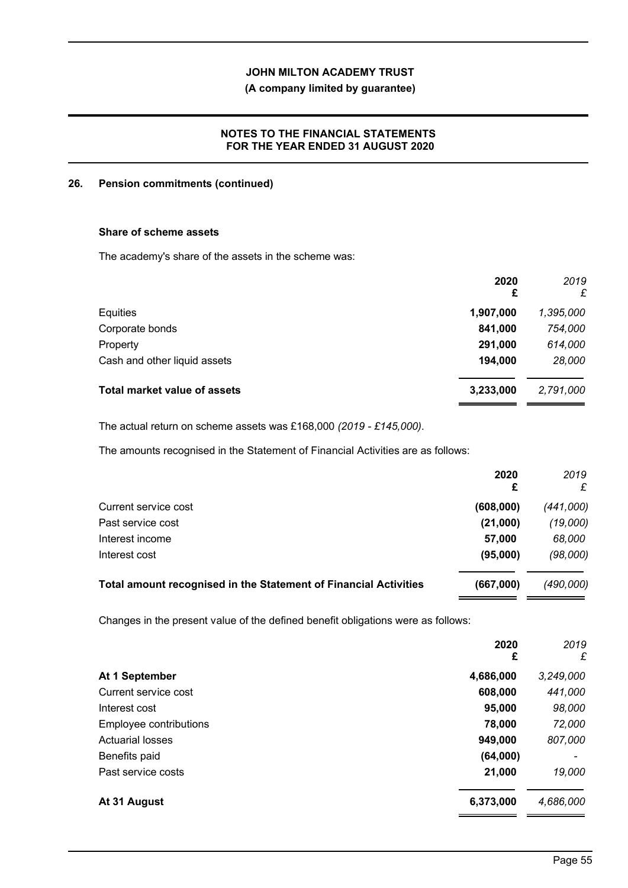## **(A company limited by guarantee)**

## **NOTES TO THE FINANCIAL STATEMENTS FOR THE YEAR ENDED 31 AUGUST 2020**

### **26. Pension commitments (continued)**

## **Share of scheme assets**

The academy's share of the assets in the scheme was:

|                                     | 2020<br>£ | 2019<br>£ |
|-------------------------------------|-----------|-----------|
| Equities                            | 1,907,000 | 1,395,000 |
| Corporate bonds                     | 841,000   | 754,000   |
| Property                            | 291,000   | 614,000   |
| Cash and other liquid assets        | 194,000   | 28,000    |
| <b>Total market value of assets</b> | 3,233,000 | 2,791,000 |

The actual return on scheme assets was £168,000 *(2019 - £145,000)*.

The amounts recognised in the Statement of Financial Activities are as follows:

|                                                                  | 2020<br>£ | 2019<br>£ |
|------------------------------------------------------------------|-----------|-----------|
| Current service cost                                             | (608,000) | (441,000) |
| Past service cost                                                | (21,000)  | (19,000)  |
| Interest income                                                  | 57,000    | 68,000    |
| Interest cost                                                    | (95,000)  | (98,000)  |
| Total amount recognised in the Statement of Financial Activities | (667,000) | (490,000) |

Changes in the present value of the defined benefit obligations were as follows:

|                         | 2020<br>£ | 2019<br>£ |
|-------------------------|-----------|-----------|
| At 1 September          | 4,686,000 | 3,249,000 |
| Current service cost    | 608,000   | 441,000   |
| Interest cost           | 95,000    | 98,000    |
| Employee contributions  | 78,000    | 72,000    |
| <b>Actuarial losses</b> | 949,000   | 807,000   |
| Benefits paid           | (64,000)  |           |
| Past service costs      | 21,000    | 19,000    |
| At 31 August            | 6,373,000 | 4,686,000 |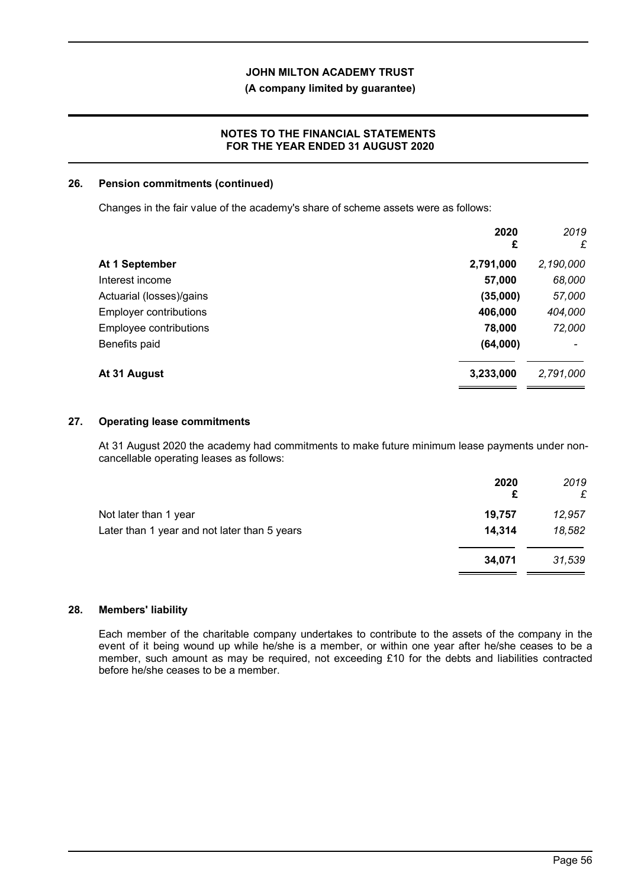### **(A company limited by guarantee)**

### **NOTES TO THE FINANCIAL STATEMENTS FOR THE YEAR ENDED 31 AUGUST 2020**

#### **26. Pension commitments (continued)**

Changes in the fair value of the academy's share of scheme assets were as follows:

|                               | 2020<br>£ | 2019<br>£ |
|-------------------------------|-----------|-----------|
| At 1 September                | 2,791,000 | 2,190,000 |
| Interest income               | 57,000    | 68,000    |
| Actuarial (losses)/gains      | (35,000)  | 57,000    |
| <b>Employer contributions</b> | 406,000   | 404,000   |
| Employee contributions        | 78,000    | 72,000    |
| Benefits paid                 | (64,000)  |           |
| At 31 August                  | 3,233,000 | 2,791,000 |

#### **27. Operating lease commitments**

At 31 August 2020 the academy had commitments to make future minimum lease payments under noncancellable operating leases as follows:

|                                              | 2020<br>£ | 2019<br>£ |
|----------------------------------------------|-----------|-----------|
| Not later than 1 year                        | 19,757    | 12,957    |
| Later than 1 year and not later than 5 years | 14,314    | 18,582    |
|                                              | 34,071    | 31,539    |
|                                              |           |           |

### **28. Members' liability**

Each member of the charitable company undertakes to contribute to the assets of the company in the event of it being wound up while he/she is a member, or within one year after he/she ceases to be a member, such amount as may be required, not exceeding £10 for the debts and liabilities contracted before he/she ceases to be a member.